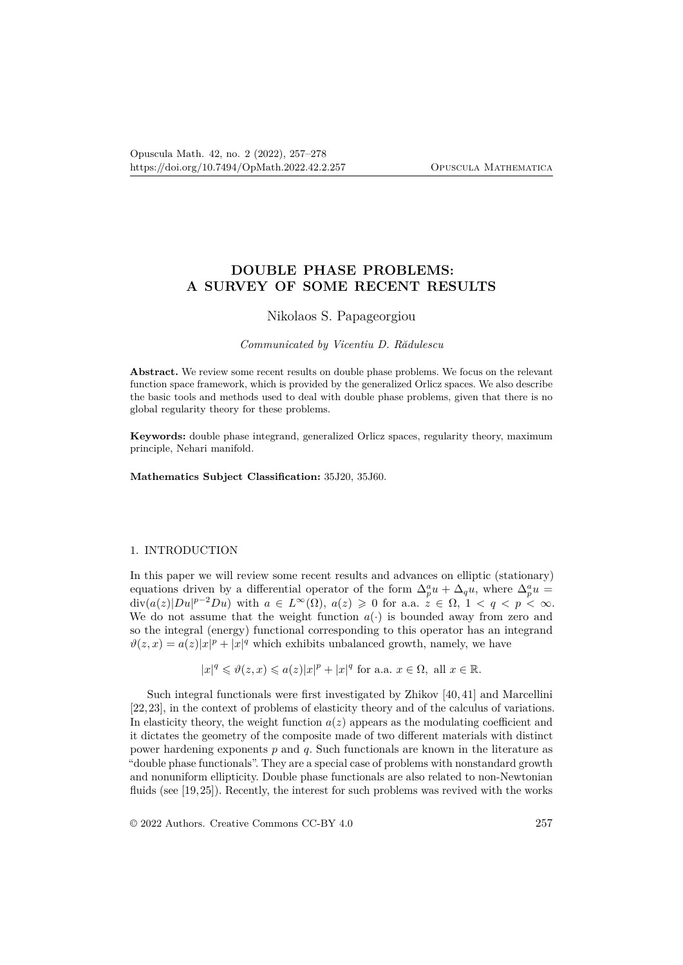# **DOUBLE PHASE PROBLEMS: A SURVEY OF SOME RECENT RESULTS**

### Nikolaos S. Papageorgiou

## *Communicated by Vicentiu D. Rădulescu*

**Abstract.** We review some recent results on double phase problems. We focus on the relevant function space framework, which is provided by the generalized Orlicz spaces. We also describe the basic tools and methods used to deal with double phase problems, given that there is no global regularity theory for these problems.

**Keywords:** double phase integrand, generalized Orlicz spaces, regularity theory, maximum principle, Nehari manifold.

**Mathematics Subject Classification:** 35J20, 35J60.

### 1. INTRODUCTION

In this paper we will review some recent results and advances on elliptic (stationary) equations driven by a differential operator of the form  $\Delta_p^a u + \Delta_q u$ , where  $\Delta_p^a u =$ div $(a(z)|Du|^{p-2}Du)$  with  $a \in L^{\infty}(\Omega)$ ,  $a(z) \geq 0$  for a.a.  $z \in \Omega$ ,  $1 < q < p < \infty$ . We do not assume that the weight function  $a(\cdot)$  is bounded away from zero and so the integral (energy) functional corresponding to this operator has an integrand  $\vartheta(z, x) = a(z)|x|^p + |x|^q$  which exhibits unbalanced growth, namely, we have

$$
|x|^q\leqslant \vartheta(z,x)\leqslant a(z)|x|^p+|x|^q\text{ for a.a. }x\in\Omega,\text{ all }x\in\mathbb{R}.
$$

Such integral functionals were first investigated by Zhikov [40, 41] and Marcellini [22, 23], in the context of problems of elasticity theory and of the calculus of variations. In elasticity theory, the weight function  $a(z)$  appears as the modulating coefficient and it dictates the geometry of the composite made of two different materials with distinct power hardening exponents *p* and *q*. Such functionals are known in the literature as "double phase functionals". They are a special case of problems with nonstandard growth and nonuniform ellipticity. Double phase functionals are also related to non-Newtonian fluids (see [19,25]). Recently, the interest for such problems was revived with the works

© 2022 Authors. Creative Commons CC-BY 4.0 257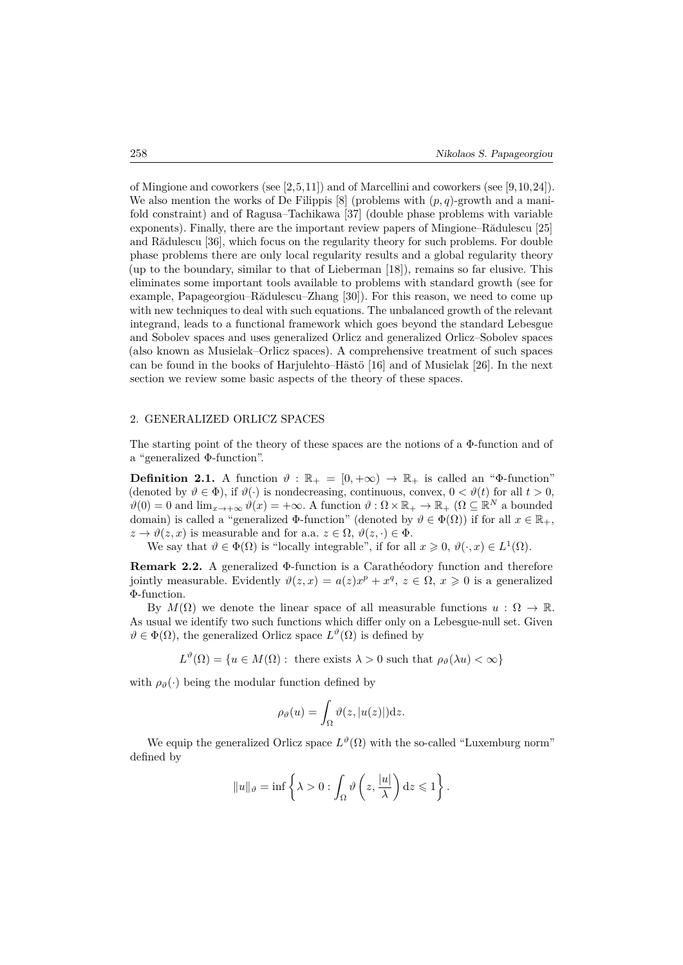of Mingione and coworkers (see [2,5,11]) and of Marcellini and coworkers (see [9,10,24]). We also mention the works of De Filippis  $[8]$  (problems with  $(p, q)$ -growth and a manifold constraint) and of Ragusa–Tachikawa [37] (double phase problems with variable exponents). Finally, there are the important review papers of Mingione–Rădulescu [25] and Rădulescu [36], which focus on the regularity theory for such problems. For double phase problems there are only local regularity results and a global regularity theory (up to the boundary, similar to that of Lieberman [18]), remains so far elusive. This eliminates some important tools available to problems with standard growth (see for example, Papageorgiou–Rădulescu–Zhang [30]). For this reason, we need to come up with new techniques to deal with such equations. The unbalanced growth of the relevant integrand, leads to a functional framework which goes beyond the standard Lebesgue and Sobolev spaces and uses generalized Orlicz and generalized Orlicz–Sobolev spaces (also known as Musielak–Orlicz spaces). A comprehensive treatment of such spaces can be found in the books of Harjulehto–Hästö [16] and of Musielak [26]. In the next section we review some basic aspects of the theory of these spaces.

## 2. GENERALIZED ORLICZ SPACES

The starting point of the theory of these spaces are the notions of a Φ-function and of a "generalized Φ-function".

**Definition 2.1.** A function  $\vartheta$ :  $\mathbb{R}_+ = [0, +\infty) \to \mathbb{R}_+$  is called an " $\Phi$ -function" (denoted by  $\vartheta \in \Phi$ ), if  $\vartheta(\cdot)$  is nondecreasing, continuous, convex,  $0 < \vartheta(t)$  for all  $t > 0$ ,  $\vartheta(0) = 0$  and  $\lim_{x \to +\infty} \vartheta(x) = +\infty$ . A function  $\vartheta : \Omega \times \mathbb{R}_+ \to \mathbb{R}_+$  ( $\Omega \subseteq \mathbb{R}^N$  a bounded domain) is called a "generalized  $\Phi$ -function" (denoted by  $\vartheta \in \Phi(\Omega)$ ) if for all  $x \in \mathbb{R}_+$ ,  $z \to \vartheta(z, x)$  is measurable and for a.a.  $z \in \Omega$ ,  $\vartheta(z, \cdot) \in \Phi$ .

We say that  $\vartheta \in \Phi(\Omega)$  is "locally integrable", if for all  $x \geq 0$ ,  $\vartheta(\cdot, x) \in L^1(\Omega)$ .

**Remark 2.2.** A generalized Φ-function is a Carathéodory function and therefore jointly measurable. Evidently  $\vartheta(z, x) = a(z)x^p + x^q, z \in \Omega, x \geq 0$  is a generalized Φ-function.

By  $M(\Omega)$  we denote the linear space of all measurable functions  $u : \Omega \to \mathbb{R}$ . As usual we identify two such functions which differ only on a Lebesgue-null set. Given  $\vartheta \in \Phi(\Omega)$ , the generalized Orlicz space  $L^{\vartheta}(\Omega)$  is defined by

 $L^{\vartheta}(\Omega) = \{u \in M(\Omega) : \text{ there exists } \lambda > 0 \text{ such that } \rho_{\vartheta}(\lambda u) < \infty\}$ 

with  $\rho_{\theta}(\cdot)$  being the modular function defined by

$$
\rho_{\vartheta}(u) = \int_{\Omega} \vartheta(z, |u(z)|) \mathrm{d}z.
$$

We equip the generalized Orlicz space  $L^{\vartheta}(\Omega)$  with the so-called "Luxemburg norm" defined by

$$
||u||_{\vartheta} = \inf \left\{ \lambda > 0 : \int_{\Omega} \vartheta \left( z, \frac{|u|}{\lambda} \right) dz \leq 1 \right\}.
$$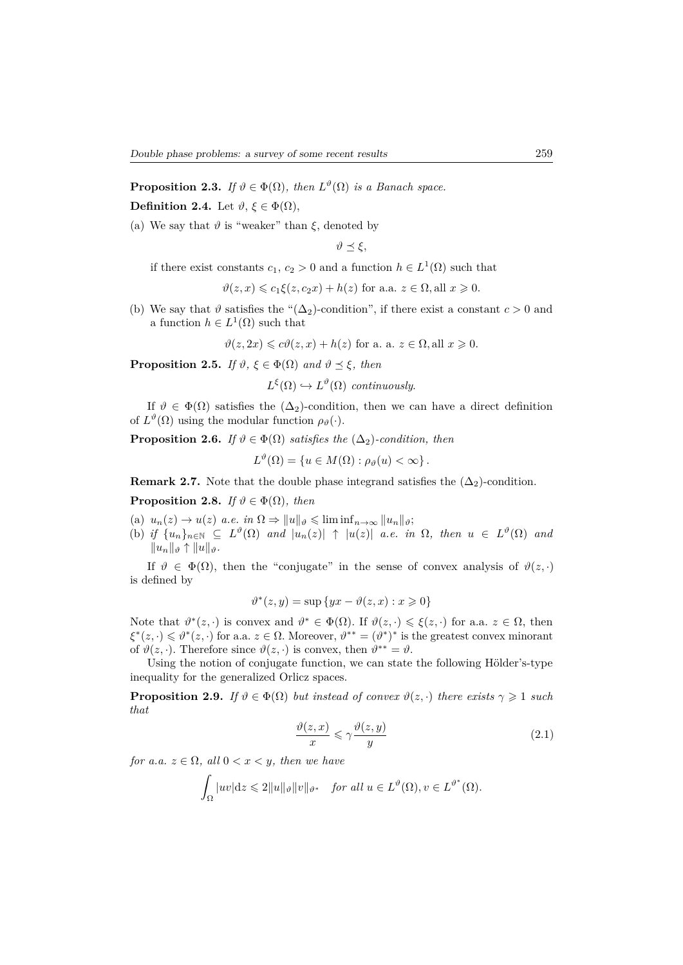**Proposition 2.3.** *If*  $\vartheta \in \Phi(\Omega)$ *, then*  $L^{\vartheta}(\Omega)$  *is a Banach space.* **Definition 2.4.** Let  $\vartheta$ ,  $\xi \in \Phi(\Omega)$ ,

(a) We say that  $\vartheta$  is "weaker" than  $\xi$ , denoted by

$$
\vartheta \preceq \xi,
$$

if there exist constants  $c_1, c_2 > 0$  and a function  $h \in L^1(\Omega)$  such that

$$
\vartheta(z, x) \leq c_1 \xi(z, c_2 x) + h(z)
$$
 for a.a.  $z \in \Omega$ , all  $x \geq 0$ .

(b) We say that  $\vartheta$  satisfies the " $(\Delta_2)$ -condition", if there exist a constant  $c > 0$  and a function  $h \in L^1(\Omega)$  such that

 $\vartheta(z, 2x) \leq c\vartheta(z, x) + h(z)$  for a. a.  $z \in \Omega$ , all  $x \geq 0$ .

**Proposition 2.5.** *If*  $\vartheta$ ,  $\xi \in \Phi(\Omega)$  *and*  $\vartheta \preceq \xi$ *, then* 

 $L^{\xi}(\Omega) \hookrightarrow L^{\vartheta}(\Omega)$  *continuously*.

If  $\vartheta \in \Phi(\Omega)$  satisfies the  $(\Delta_2)$ -condition, then we can have a direct definition of  $L^{\vartheta}(\Omega)$  using the modular function  $\rho_{\vartheta}(\cdot)$ .

**Proposition 2.6.** *If*  $\vartheta \in \Phi(\Omega)$  *satisfies the*  $(\Delta_2)$ *-condition, then* 

 $L^{\vartheta}(\Omega) = \{u \in M(\Omega) : \rho_{\vartheta}(u) < \infty\}.$ 

**Remark 2.7.** Note that the double phase integrand satisfies the  $(\Delta_2)$ -condition.

**Proposition 2.8.** *If*  $\vartheta \in \Phi(\Omega)$ *, then* 

(a)  $u_n(z) \to u(z)$  *a.e.* in  $\Omega \Rightarrow ||u||_{\vartheta} \leqslant \liminf_{n \to \infty} ||u_n||_{\vartheta}$ ;

(b) *if*  $\{u_n\}_{n\in\mathbb{N}} \subseteq L^{\vartheta}(\Omega)$  and  $|u_n(z)| \uparrow |u(z)|$  a.e. in  $\Omega$ , then  $u \in L^{\vartheta}(\Omega)$  and  $||u_n||_θ$ <sup>†</sup>  $||u||_θ$ </sup>*.* 

If  $\vartheta \in \Phi(\Omega)$ , then the "conjugate" in the sense of convex analysis of  $\vartheta(z, \cdot)$ is defined by

$$
\vartheta^*(z, y) = \sup \{ yx - \vartheta(z, x) : x \geq 0 \}
$$

Note that  $\vartheta^*(z, \cdot)$  is convex and  $\vartheta^* \in \Phi(\Omega)$ . If  $\vartheta(z, \cdot) \leq \xi(z, \cdot)$  for a.a.  $z \in \Omega$ , then  $\xi^*(z, \cdot) \leq \vartheta^*(z, \cdot)$  for a.a.  $z \in \Omega$ . Moreover,  $\vartheta^{**} = (\vartheta^*)^*$  is the greatest convex minorant of  $\vartheta(z, \cdot)$ . Therefore since  $\vartheta(z, \cdot)$  is convex, then  $\vartheta^{**} = \vartheta$ .

Using the notion of conjugate function, we can state the following Hölder's-type inequality for the generalized Orlicz spaces.

**Proposition 2.9.** *If*  $\vartheta \in \Phi(\Omega)$  *but instead of convex*  $\vartheta(z, \cdot)$  *there exists*  $\gamma \geq 1$  *such that*

$$
\frac{\vartheta(z,x)}{x} \leqslant \gamma \frac{\vartheta(z,y)}{y} \tag{2.1}
$$

*for a.a.*  $z \in \Omega$ *, all*  $0 < x < y$ *, then we have* 

$$
\int_{\Omega} |uv| \mathrm{d}z \leq 2||u||_{\vartheta} ||v||_{\vartheta^*} \quad \text{for all } u \in L^{\vartheta}(\Omega), v \in L^{\vartheta^*}(\Omega).
$$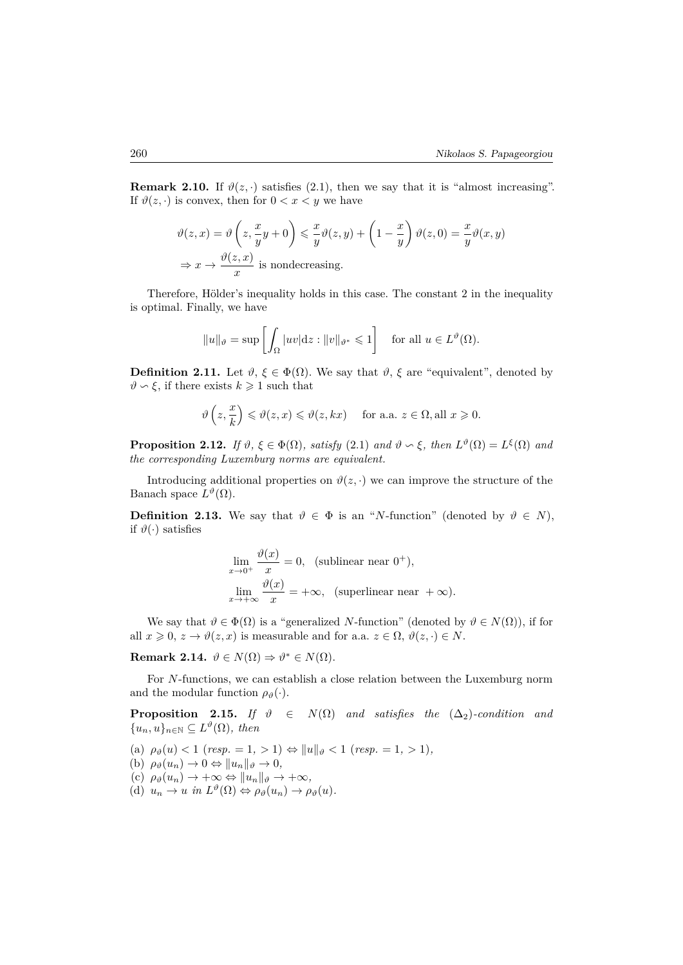**Remark 2.10.** If  $\vartheta(z, \cdot)$  satisfies (2.1), then we say that it is "almost increasing". If  $\vartheta(z, \cdot)$  is convex, then for  $0 < x < y$  we have

$$
\vartheta(z, x) = \vartheta\left(z, \frac{x}{y}y + 0\right) \leq \frac{x}{y}\vartheta(z, y) + \left(1 - \frac{x}{y}\right)\vartheta(z, 0) = \frac{x}{y}\vartheta(x, y)
$$

$$
\Rightarrow x \to \frac{\vartheta(z, x)}{x} \text{ is nondecreasing.}
$$

Therefore, Hölder's inequality holds in this case. The constant 2 in the inequality is optimal. Finally, we have

$$
||u||_{\vartheta} = \sup \left[ \int_{\Omega} |uv| \, dz : ||v||_{\vartheta^*} \leq 1 \right] \quad \text{for all } u \in L^{\vartheta}(\Omega).
$$

**Definition 2.11.** Let  $\vartheta$ ,  $\xi \in \Phi(\Omega)$ . We say that  $\vartheta$ ,  $\xi$  are "equivalent", denoted by  $\vartheta \backsim \xi$ , if there exists  $k \geq 1$  such that

$$
\vartheta\left(z,\frac{x}{k}\right)\leqslant\vartheta(z,x)\leqslant\vartheta(z,kx)\quad\text{ for a.a. }z\in\Omega,\text{all }x\geqslant0.
$$

**Proposition 2.12.** *If*  $\vartheta$ ,  $\xi \in \Phi(\Omega)$ , *satisfy* (2.1) *and*  $\vartheta \sim \xi$ , *then*  $L^{\vartheta}(\Omega) = L^{\xi}(\Omega)$  *and the corresponding Luxemburg norms are equivalent.*

Introducing additional properties on  $\vartheta(z, \cdot)$  we can improve the structure of the Banach space  $L^{\vartheta}(\Omega)$ .

**Definition 2.13.** We say that  $\vartheta \in \Phi$  is an "*N*-function" (denoted by  $\vartheta \in N$ ), if  $\vartheta(\cdot)$  satisfies

$$
\lim_{x \to 0^+} \frac{\vartheta(x)}{x} = 0, \text{ (sublinear near } 0^+),
$$
  

$$
\lim_{x \to +\infty} \frac{\vartheta(x)}{x} = +\infty, \text{ (superlinear near } +\infty).
$$

We say that  $\vartheta \in \Phi(\Omega)$  is a "generalized *N*-function" (denoted by  $\vartheta \in N(\Omega)$ ), if for all  $x \geq 0$ ,  $z \to \vartheta(z, x)$  is measurable and for a.a.  $z \in \Omega$ ,  $\vartheta(z, \cdot) \in N$ .

**Remark 2.14.**  $\vartheta \in N(\Omega) \Rightarrow \vartheta^* \in N(\Omega)$ .

For *N*-functions, we can establish a close relation between the Luxemburg norm and the modular function  $\rho_{\vartheta}(\cdot)$ .

**Proposition 2.15.** *If*  $\vartheta \in N(\Omega)$  *and satisfies the*  $(\Delta_2)$ *-condition and*  $\{u_n, u\}_{n \in \mathbb{N}} \subseteq L^{\vartheta}(\Omega)$ *, then* 

 $(\text{a}) \ \rho_{\vartheta}(u) < 1 \ (\text{resp.} = 1, > 1) \Leftrightarrow \|u\|_{\vartheta} < 1 \ (\text{resp.} = 1, > 1),$ 

(b)  $\rho_{\vartheta}(u_n) \to 0 \Leftrightarrow ||u_n||_{\vartheta} \to 0,$ 

 $(c)$   $\rho_{\vartheta}(u_n) \rightarrow +\infty \Leftrightarrow ||u_n||_{\vartheta} \rightarrow +\infty,$ 

 $(d)$   $u_n \to u$  *in*  $L^{\vartheta}(\Omega) \Leftrightarrow \rho_{\vartheta}(u_n) \to \rho_{\vartheta}(u)$ .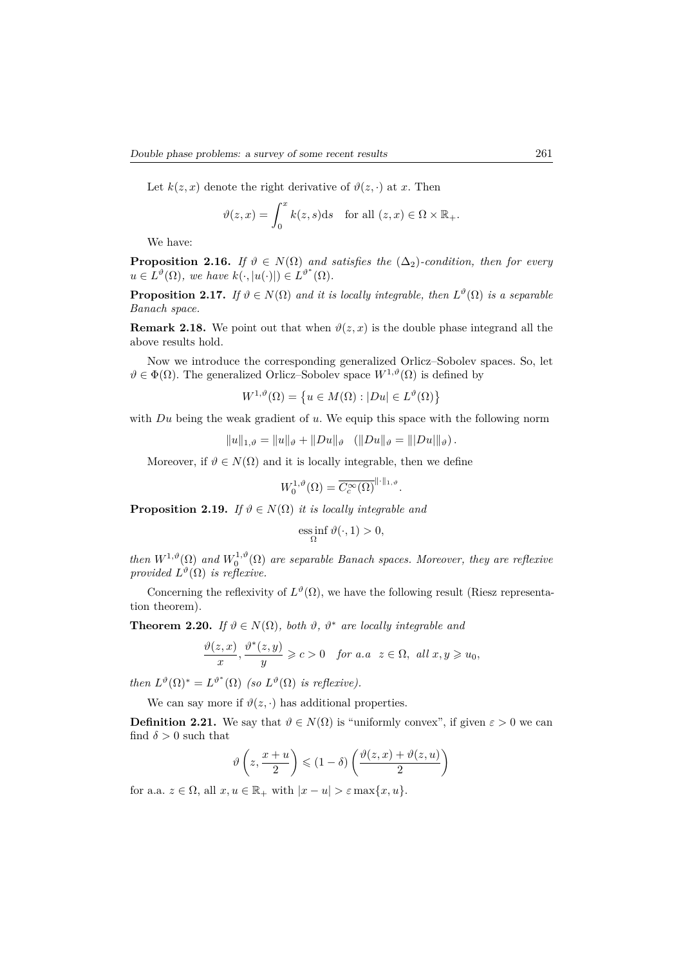Let  $k(z, x)$  denote the right derivative of  $\vartheta(z, \cdot)$  at *x*. Then

$$
\vartheta(z,x) = \int_0^x k(z,s)ds \quad \text{for all } (z,x) \in \Omega \times \mathbb{R}_+.
$$

We have:

**Proposition 2.16.** *If*  $\vartheta \in N(\Omega)$  *and satisfies the*  $(\Delta_2)$ *-condition, then for every*  $u \in L^{\vartheta}(\Omega)$ *, we have*  $k(\cdot, |u(\cdot)|) \in L^{\vartheta^*}(\Omega)$ *.* 

**Proposition 2.17.** *If*  $\vartheta \in N(\Omega)$  *and it is locally integrable, then*  $L^{\vartheta}(\Omega)$  *is a separable Banach space.*

**Remark 2.18.** We point out that when  $\vartheta(z, x)$  is the double phase integrand all the above results hold.

Now we introduce the corresponding generalized Orlicz–Sobolev spaces. So, let  $\vartheta \in \Phi(\Omega)$ . The generalized Orlicz–Sobolev space  $W^{1,\vartheta}(\Omega)$  is defined by

$$
W^{1,\vartheta}(\Omega) = \left\{ u \in M(\Omega) : |Du| \in L^{\vartheta}(\Omega) \right\}
$$

with *Du* being the weak gradient of *u*. We equip this space with the following norm

$$
||u||_{1,\vartheta} = ||u||_{\vartheta} + ||Du||_{\vartheta} \quad (||Du||_{\vartheta} = |||Du||_{\vartheta}).
$$

Moreover, if  $\vartheta \in N(\Omega)$  and it is locally integrable, then we define

$$
W_0^{1,\vartheta}(\Omega) = \overline{C_c^{\infty}(\Omega)}^{\|\cdot\|_{1,\vartheta}}
$$

*.*

**Proposition 2.19.** *If*  $\vartheta \in N(\Omega)$  *it is locally integrable and* 

$$
\underset{\Omega}{\mathrm{ess}\inf}\,\vartheta(\cdot,1)>0,
$$

*then*  $W^{1,\vartheta}(\Omega)$  and  $W_0^{1,\vartheta}(\Omega)$  are separable Banach spaces. Moreover, they are reflexive *provided*  $L^{\vartheta}(\Omega)$  *is reflexive.* 

Concerning the reflexivity of  $L^{\vartheta}(\Omega)$ , we have the following result (Riesz representation theorem).

**Theorem 2.20.** *If*  $\vartheta \in N(\Omega)$ *, both*  $\vartheta$ *,*  $\vartheta^*$  *are locally integrable and* 

$$
\frac{\vartheta(z,x)}{x},\frac{\vartheta^*(z,y)}{y}\geqslant c>0 \quad \text{for a.a } z\in\Omega, \text{ all } x,y\geqslant u_0,
$$

*then*  $L^{\vartheta}(\Omega)^* = L^{\vartheta^*}(\Omega)$  *(so*  $L^{\vartheta}(\Omega)$  *is reflexive).* 

We can say more if  $\vartheta(z, \cdot)$  has additional properties.

**Definition 2.21.** We say that  $\vartheta \in N(\Omega)$  is "uniformly convex", if given  $\varepsilon > 0$  we can find  $\delta > 0$  such that

$$
\vartheta\left(z,\frac{x+u}{2}\right) \leqslant (1-\delta)\left(\frac{\vartheta(z,x)+\vartheta(z,u)}{2}\right)
$$

for a.a.  $z \in \Omega$ , all  $x, u \in \mathbb{R}_+$  with  $|x - u| > \varepsilon \max\{x, u\}.$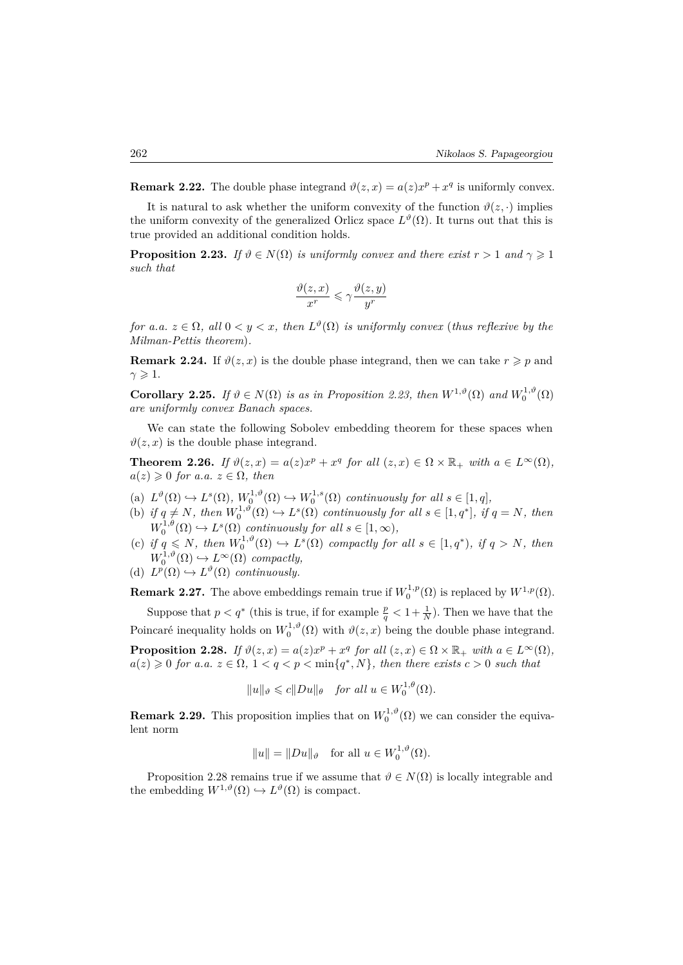**Remark 2.22.** The double phase integrand  $\vartheta(z, x) = a(z)x^p + x^q$  is uniformly convex.

It is natural to ask whether the uniform convexity of the function  $\vartheta(z, \cdot)$  implies the uniform convexity of the generalized Orlicz space  $L^{\vartheta}(\Omega)$ . It turns out that this is true provided an additional condition holds.

**Proposition 2.23.** *If*  $\vartheta \in N(\Omega)$  *is uniformly convex and there exist*  $r > 1$  *and*  $\gamma \geq 1$ *such that*

$$
\frac{\vartheta(z,x)}{x^r}\leqslant \gamma \frac{\vartheta(z,y)}{y^r}
$$

*for a.a.*  $z \in \Omega$ , all  $0 < y < x$ , then  $L^{\vartheta}(\Omega)$  *is uniformly convex (thus reflexive by the Milman-Pettis theorem*)*.*

**Remark 2.24.** If  $\vartheta(z, x)$  is the double phase integrand, then we can take  $r \geq p$  and  $\gamma \geqslant 1$ .

**Corollary 2.25.** *If*  $\vartheta \in N(\Omega)$  *is as in Proposition 2.23, then*  $W^{1,\vartheta}(\Omega)$  *and*  $W_0^{1,\vartheta}(\Omega)$ *are uniformly convex Banach spaces.*

We can state the following Sobolev embedding theorem for these spaces when  $\vartheta(z, x)$  is the double phase integrand.

**Theorem 2.26.** *If*  $\vartheta(z, x) = a(z)x^p + x^q$  *for all*  $(z, x) \in \Omega \times \mathbb{R}_+$  *with*  $a \in L^{\infty}(\Omega)$ *,*  $a(z) \geq 0$  *for a.a.*  $z \in \Omega$ *, then* 

- (a)  $L^{\vartheta}(\Omega) \hookrightarrow L^s(\Omega)$ ,  $W_0^{1,\vartheta}(\Omega) \hookrightarrow W_0^{1,s}(\Omega)$  continuously for all  $s \in [1,q]$ ,
- (b) if  $q \neq N$ , then  $W_0^{1,\vartheta}(\Omega) \hookrightarrow L^s(\Omega)$  continuously for all  $s \in [1, q^*]$ , if  $q = N$ , then  $W_0^{1,\theta}(\Omega) \hookrightarrow L^s(\Omega)$  *continuously for all*  $s \in [1,\infty)$ *,*
- (c) if  $q \leq N$ , then  $W_0^{1,\vartheta}(\Omega) \hookrightarrow L^s(\Omega)$  compactly for all  $s \in [1, q^*)$ , if  $q > N$ , then  $W_0^{1,\vartheta}(\Omega) \hookrightarrow L^{\infty}(\Omega)$  *compactly,*
- (d)  $L^p(\Omega) \hookrightarrow L^{\vartheta}(\Omega)$  *continuously.*

**Remark 2.27.** The above embeddings remain true if  $W_0^{1,p}(\Omega)$  is replaced by  $W^{1,p}(\Omega)$ .

Suppose that  $p < q^*$  (this is true, if for example  $\frac{p}{q} < 1 + \frac{1}{N}$ ). Then we have that the Poincaré inequality holds on  $W_0^{1,\vartheta}(\Omega)$  with  $\vartheta(z, x)$  being the double phase integrand. **Proposition 2.28.** *If*  $\vartheta(z, x) = a(z)x^p + x^q$  *for all*  $(z, x) \in \Omega \times \mathbb{R}_+$  *with*  $a \in L^{\infty}(\Omega)$ *,* 

$$
||u||_{\vartheta} \leqslant c||Du||_{\theta} \quad \text{for all } u \in W_0^{1,\theta}(\Omega).
$$

 $a(z) \geq 0$  *for a.a.*  $z \in \Omega$ ,  $1 < q < p < \min\{q^*, N\}$ , then there exists  $c > 0$  such that

**Remark 2.29.** This proposition implies that on  $W_0^{1,\vartheta}(\Omega)$  we can consider the equivalent norm

$$
||u|| = ||Du||_{\vartheta} \text{ for all } u \in W_0^{1,\vartheta}(\Omega).
$$

Proposition 2.28 remains true if we assume that  $\vartheta \in N(\Omega)$  is locally integrable and the embedding  $W^{1,\vartheta}(\Omega) \hookrightarrow L^{\vartheta}(\Omega)$  is compact.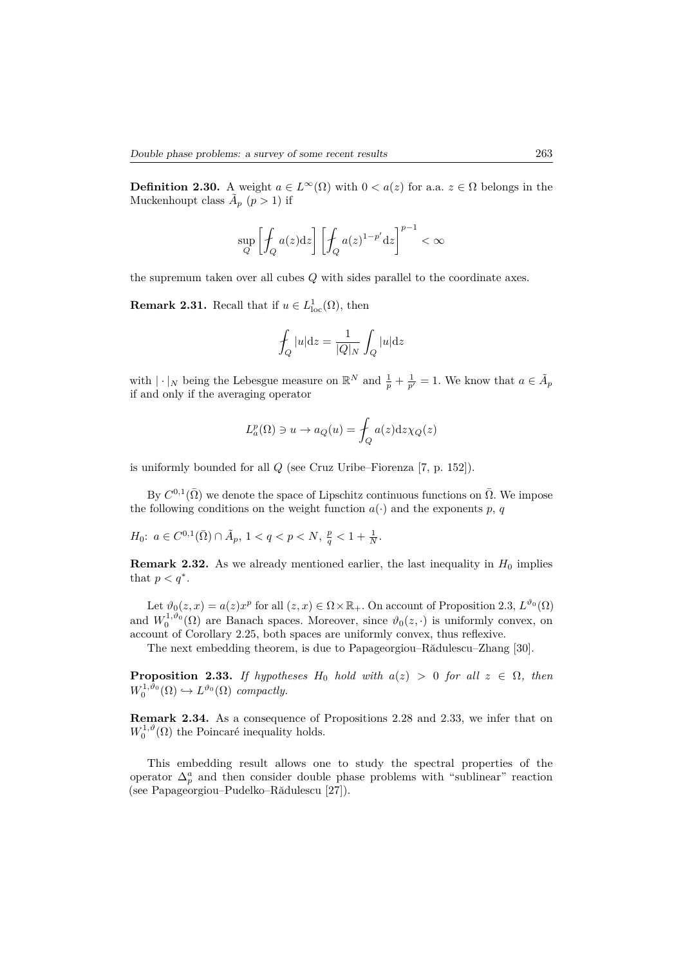**Definition 2.30.** A weight  $a \in L^{\infty}(\Omega)$  with  $0 < a(z)$  for a.a.  $z \in \Omega$  belongs in the Muckenhoupt class  $\tilde{A}_p$  ( $p > 1$ ) if

$$
\sup_{Q} \left[ \int_{Q} a(z) \mathrm{d} z \right] \left[ \int_{Q} a(z)^{1-p'} \mathrm{d} z \right]^{p-1} < \infty
$$

the supremum taken over all cubes *Q* with sides parallel to the coordinate axes.

**Remark 2.31.** Recall that if  $u \in L^1_{loc}(\Omega)$ , then

$$
\int_{Q} |u| \mathrm{d}z = \frac{1}{|Q|_N} \int_{Q} |u| \mathrm{d}z
$$

with  $|\cdot|_N$  being the Lebesgue measure on  $\mathbb{R}^N$  and  $\frac{1}{p} + \frac{1}{p'} = 1$ . We know that  $a \in \tilde{A}_p$ if and only if the averaging operator

$$
L_a^p(\Omega) \ni u \to a_Q(u) = \int_Q a(z) \mathrm{d}z \chi_Q(z)
$$

is uniformly bounded for all *Q* (see Cruz Uribe–Fiorenza [7, p. 152]).

By  $C^{0,1}(\bar{\Omega})$  we denote the space of Lipschitz continuous functions on  $\bar{\Omega}$ . We impose the following conditions on the weight function  $a(\cdot)$  and the exponents p, q

$$
H_0\colon\, a\in C^{0,1}(\bar{\Omega})\cap \tilde{A}_p,\, 1
$$

**Remark 2.32.** As we already mentioned earlier, the last inequality in  $H_0$  implies that  $p < q^*$ .

Let  $\vartheta_0(z, x) = a(z)x^p$  for all  $(z, x) \in \Omega \times \mathbb{R}_+$ . On account of Proposition 2.3,  $L^{\vartheta_0}(\Omega)$ and  $W_0^{1,\vartheta_0}(\Omega)$  are Banach spaces. Moreover, since  $\vartheta_0(z, \cdot)$  is uniformly convex, on account of Corollary 2.25, both spaces are uniformly convex, thus reflexive.

The next embedding theorem, is due to Papageorgiou–Rădulescu–Zhang [30].

**Proposition 2.33.** *If hypotheses*  $H_0$  *hold with*  $a(z) > 0$  *for all*  $z \in \Omega$ *, then*  $W_0^{1,\vartheta_0}(\Omega) \hookrightarrow L^{\vartheta_0}(\Omega)$  *compactly.* 

**Remark 2.34.** As a consequence of Propositions 2.28 and 2.33, we infer that on  $W_0^{1,\vartheta}(\Omega)$  the Poincaré inequality holds.

This embedding result allows one to study the spectral properties of the operator  $\Delta_p^a$  and then consider double phase problems with "sublinear" reaction (see Papageorgiou–Pudelko–Rădulescu [27]).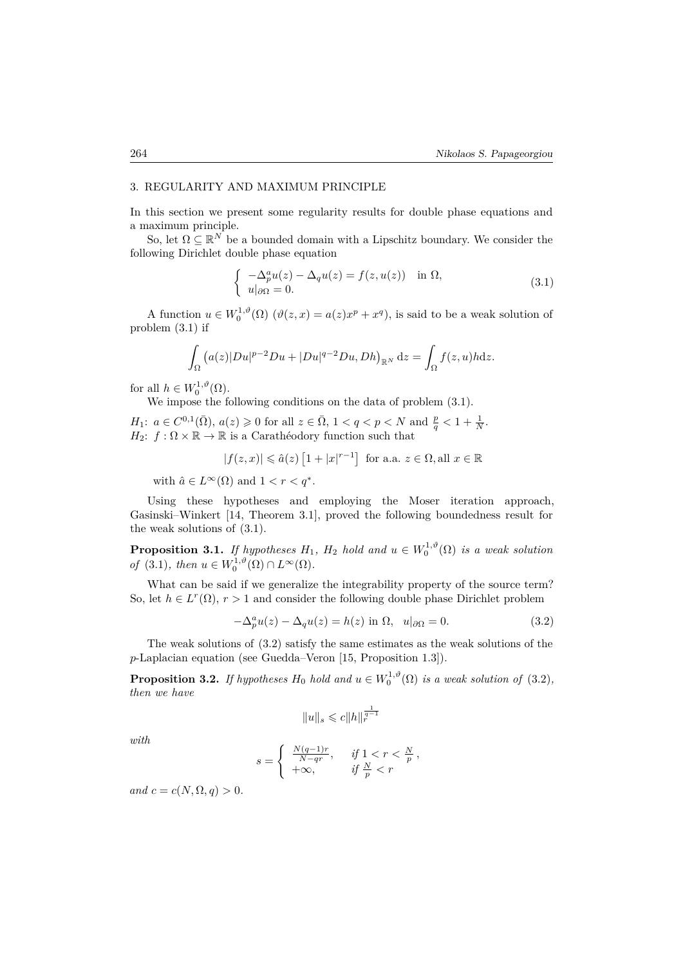## 3. REGULARITY AND MAXIMUM PRINCIPLE

In this section we present some regularity results for double phase equations and a maximum principle.

So, let  $\Omega \subseteq \mathbb{R}^N$  be a bounded domain with a Lipschitz boundary. We consider the following Dirichlet double phase equation

$$
\begin{cases}\n-\Delta_p^a u(z) - \Delta_q u(z) = f(z, u(z)) & \text{in } \Omega, \\
u|_{\partial \Omega} = 0.\n\end{cases}
$$
\n(3.1)

A function  $u \in W_0^{1,\vartheta}(\Omega)$   $(\vartheta(z, x) = a(z)x^p + x^q)$ , is said to be a weak solution of problem (3.1) if

$$
\int_{\Omega} \left( a(z)|Du|^{p-2}Du + |Du|^{q-2}Du, Dh\right)_{\mathbb{R}^N} \mathrm{d}z = \int_{\Omega} f(z,u)h \mathrm{d}z.
$$

for all  $h \in W_0^{1,\vartheta}(\Omega)$ .

We impose the following conditions on the data of problem (3.1).

*H*<sub>1</sub>:  $a \in C^{0,1}(\bar{\Omega})$ ,  $a(z) \geq 0$  for all  $z \in \bar{\Omega}$ ,  $1 < q < p < N$  and  $\frac{p}{q} < 1 + \frac{1}{N}$ . *H*<sub>2</sub>:  $f : \Omega \times \mathbb{R} \to \mathbb{R}$  is a Carathéodory function such that

$$
|f(z,x)| \leq \hat{a}(z) \left[1 + |x|^{r-1}\right] \text{ for a.a. } z \in \Omega, \text{all } x \in \mathbb{R}
$$

with  $\hat{a} \in L^{\infty}(\Omega)$  and  $1 < r < q^*$ .

Using these hypotheses and employing the Moser iteration approach, Gasinski–Winkert [14, Theorem 3.1], proved the following boundedness result for the weak solutions of (3.1).

**Proposition 3.1.** *If hypotheses*  $H_1$ ,  $H_2$  *hold and*  $u \in W_0^{1,\vartheta}(\Omega)$  *is a weak solution of*  $(3.1)$ *, then*  $u \in W_0^{1,\vartheta}(\Omega) \cap L^{\infty}(\Omega)$ *.* 

What can be said if we generalize the integrability property of the source term? So, let  $h \in L^r(\Omega)$ ,  $r > 1$  and consider the following double phase Dirichlet problem

$$
-\Delta_p^a u(z) - \Delta_q u(z) = h(z) \text{ in } \Omega, \quad u|_{\partial\Omega} = 0.
$$
 (3.2)

The weak solutions of (3.2) satisfy the same estimates as the weak solutions of the *p*-Laplacian equation (see Guedda–Veron [15, Proposition 1.3]).

**Proposition 3.2.** *If hypotheses*  $H_0$  *hold and*  $u \in W_0^{1,\vartheta}(\Omega)$  *is a weak solution of* (3.2)*, then we have*

$$
||u||_s\leqslant c||h||_r^{\frac{1}{q-1}}
$$

*with*

$$
s = \begin{cases} \frac{N(q-1)r}{N-qr}, & \text{if } 1 < r < \frac{N}{p} \\ +\infty, & \text{if } \frac{N}{p} < r \end{cases}
$$

*and*  $c = c(N, \Omega, q) > 0$ *.*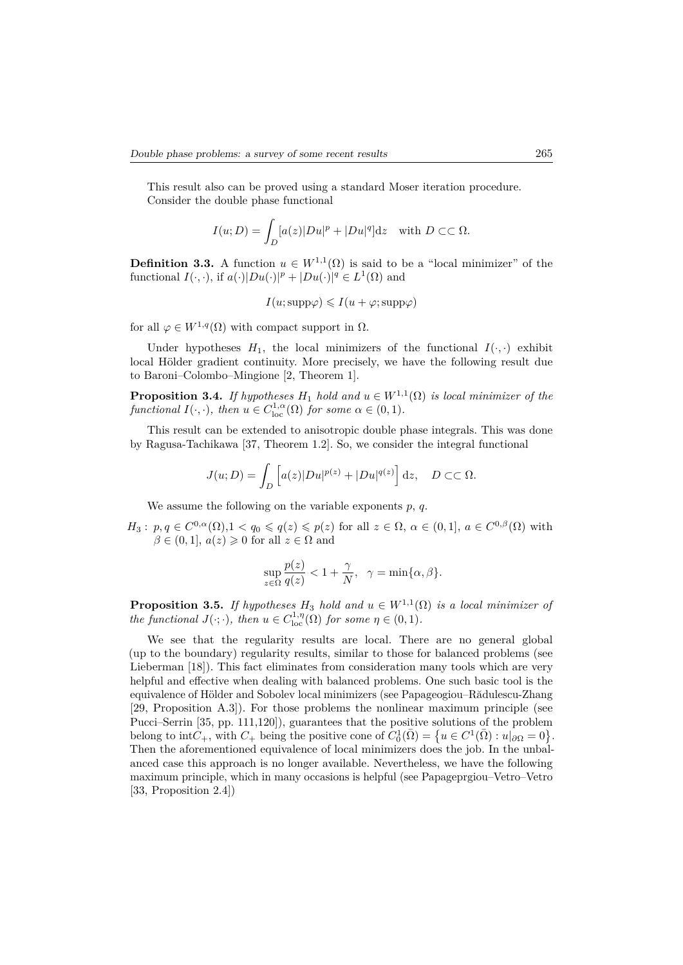This result also can be proved using a standard Moser iteration procedure. Consider the double phase functional

$$
I(u;D) = \int_D [a(z)|Du|^p + |Du|^q]dz \quad \text{with } D \subset\subset \Omega.
$$

**Definition 3.3.** A function  $u \in W^{1,1}(\Omega)$  is said to be a "local minimizer" of the functional  $I(\cdot, \cdot)$ , if  $a(\cdot)|Du(\cdot)|^p + |Du(\cdot)|^q \in L^1(\Omega)$  and

$$
I(u; \text{supp}\varphi) \leqslant I(u + \varphi; \text{supp}\varphi)
$$

for all  $\varphi \in W^{1,q}(\Omega)$  with compact support in  $\Omega$ .

Under hypotheses  $H_1$ , the local minimizers of the functional  $I(\cdot, \cdot)$  exhibit local Hölder gradient continuity. More precisely, we have the following result due to Baroni–Colombo–Mingione [2, Theorem 1].

**Proposition 3.4.** *If hypotheses*  $H_1$  *hold and*  $u \in W^{1,1}(\Omega)$  *is local minimizer of the functional*  $I(\cdot, \cdot)$ *, then*  $u \in C^{1,\alpha}_{loc}(\Omega)$  *for some*  $\alpha \in (0,1)$ *.* 

This result can be extended to anisotropic double phase integrals. This was done by Ragusa-Tachikawa [37, Theorem 1.2]. So, we consider the integral functional

$$
J(u;D) = \int_D \left[ a(z)|Du|^{p(z)} + |Du|^{q(z)} \right] dz, \quad D \subset\subset \Omega.
$$

We assume the following on the variable exponents *p*, *q*.

 $H_3: p, q \in C^{0,\alpha}(\Omega), 1 < q_0 \leqslant q(z) \leqslant p(z)$  for all  $z \in \Omega, \alpha \in (0,1], a \in C^{0,\beta}(\Omega)$  with  $\beta \in (0, 1], a(z) \geq 0$  for all  $z \in \Omega$  and

$$
\sup_{z \in \Omega} \frac{p(z)}{q(z)} < 1 + \frac{\gamma}{N}, \quad \gamma = \min\{\alpha, \beta\}.
$$

**Proposition 3.5.** *If hypotheses*  $H_3$  *hold and*  $u \in W^{1,1}(\Omega)$  *is a local minimizer of the functional*  $J(\cdot; \cdot)$ *, then*  $u \in C^{1,\eta}_{loc}(\Omega)$  *for some*  $\eta \in (0,1)$ *.* 

We see that the regularity results are local. There are no general global (up to the boundary) regularity results, similar to those for balanced problems (see Lieberman [18]). This fact eliminates from consideration many tools which are very helpful and effective when dealing with balanced problems. One such basic tool is the equivalence of Hölder and Sobolev local minimizers (see Papageogiou–Rădulescu-Zhang [29, Proposition A.3]). For those problems the nonlinear maximum principle (see Pucci–Serrin [35, pp. 111,120]), guarantees that the positive solutions of the problem belong to  $int C_+$ , with  $C_+$  being the positive cone of  $C_0^1(\overline{\Omega}) = \{u \in C^1(\overline{\Omega}) : u|_{\partial\Omega} = 0\}.$ Then the aforementioned equivalence of local minimizers does the job. In the unbalanced case this approach is no longer available. Nevertheless, we have the following maximum principle, which in many occasions is helpful (see Papageprgiou–Vetro–Vetro [33, Proposition 2.4])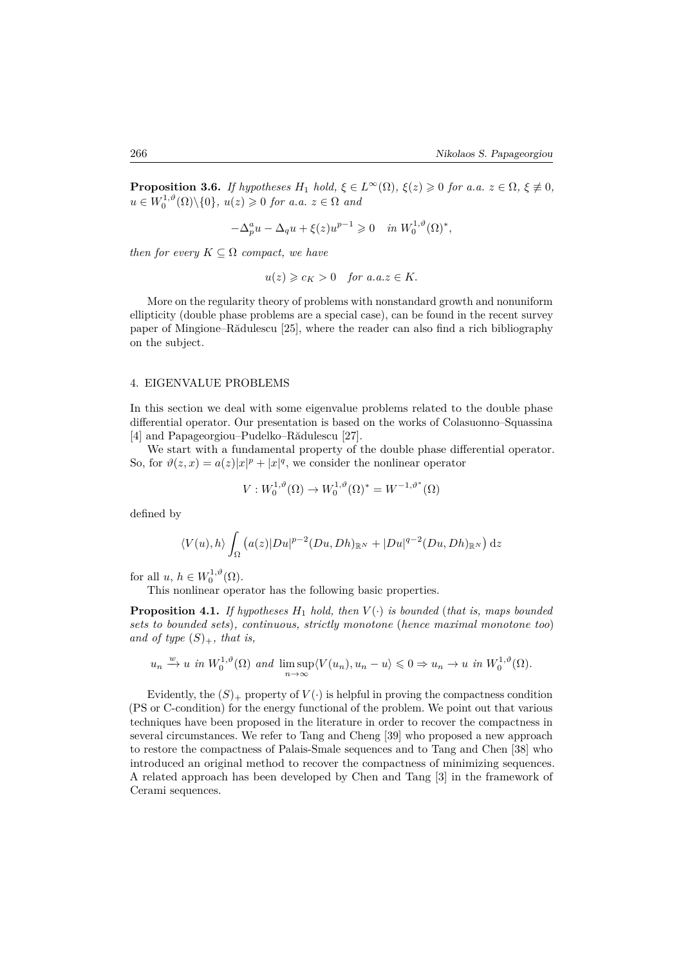**Proposition 3.6.** *If hypotheses*  $H_1$  *hold,*  $\xi \in L^\infty(\Omega)$ *,*  $\xi(z) \geq 0$  *for a.a.*  $z \in \Omega$ *,*  $\xi \neq 0$ *,*  $u \in W_0^{1,\vartheta}(\Omega) \setminus \{0\}, u(z) \geqslant 0 \text{ for a.a. } z \in \Omega \text{ and }$ 

$$
-\Delta_p^a u - \Delta_q u + \xi(z)u^{p-1} \geq 0 \quad in \ W_0^{1,\vartheta}(\Omega)^*,
$$

*then for every*  $K \subseteq \Omega$  *compact, we have* 

$$
u(z) \geqslant c_K > 0 \quad \text{for a.a.} z \in K.
$$

More on the regularity theory of problems with nonstandard growth and nonuniform ellipticity (double phase problems are a special case), can be found in the recent survey paper of Mingione–Rădulescu [25], where the reader can also find a rich bibliography on the subject.

## 4. EIGENVALUE PROBLEMS

In this section we deal with some eigenvalue problems related to the double phase differential operator. Our presentation is based on the works of Colasuonno–Squassina [4] and Papageorgiou–Pudelko–Rădulescu [27].

We start with a fundamental property of the double phase differential operator. So, for  $\vartheta(z, x) = a(z)|x|^p + |x|^q$ , we consider the nonlinear operator

$$
V: W_0^{1,\vartheta}(\Omega) \to W_0^{1,\vartheta}(\Omega)^* = W^{-1,\vartheta^*}(\Omega)
$$

defined by

$$
\langle V(u), h \rangle \int_{\Omega} \left( a(z) |Du|^{p-2} (Du, Dh)_{\mathbb{R}^N} + |Du|^{q-2} (Du, Dh)_{\mathbb{R}^N} \right) dz
$$

for all  $u, h \in W_0^{1,\vartheta}(\Omega)$ .

This nonlinear operator has the following basic properties.

**Proposition 4.1.** *If hypotheses*  $H_1$  *hold, then*  $V(\cdot)$  *is bounded* (*that is, maps bounded sets to bounded sets*)*, continuous, strictly monotone* (*hence maximal monotone too*) and of type  $(S)_+$ , that is,

$$
u_n \xrightarrow{w} u
$$
 in  $W_0^{1,\vartheta}(\Omega)$  and  $\limsup_{n \to \infty} \langle V(u_n), u_n - u \rangle \leq 0 \Rightarrow u_n \to u$  in  $W_0^{1,\vartheta}(\Omega)$ .

Evidently, the  $(S)_+$  property of  $V(\cdot)$  is helpful in proving the compactness condition (PS or C-condition) for the energy functional of the problem. We point out that various techniques have been proposed in the literature in order to recover the compactness in several circumstances. We refer to Tang and Cheng [39] who proposed a new approach to restore the compactness of Palais-Smale sequences and to Tang and Chen [38] who introduced an original method to recover the compactness of minimizing sequences. A related approach has been developed by Chen and Tang [3] in the framework of Cerami sequences.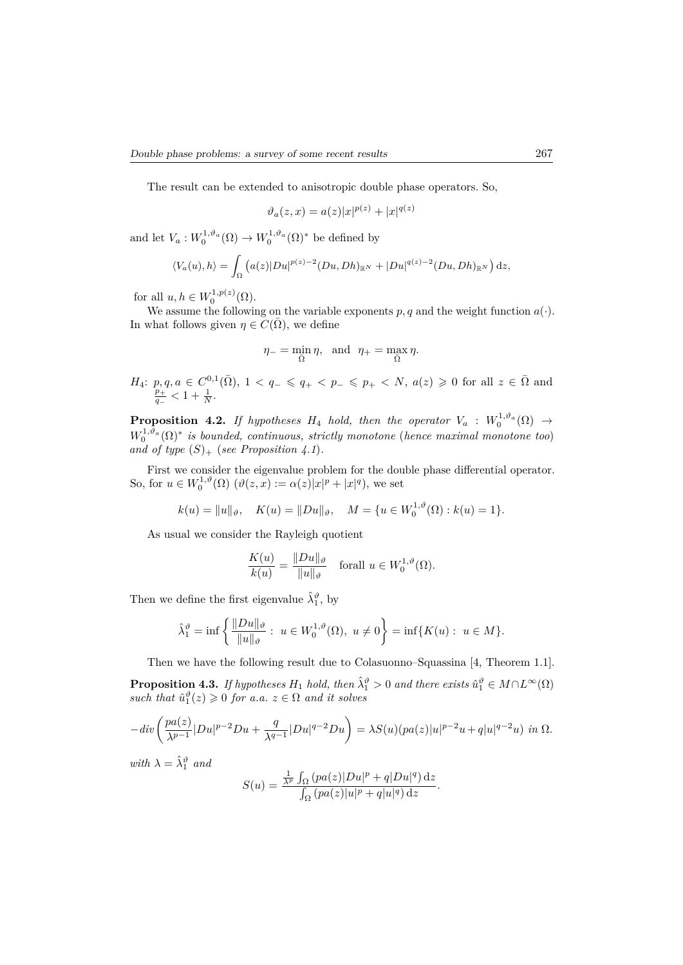The result can be extended to anisotropic double phase operators. So,

$$
\vartheta_a(z, x) = a(z)|x|^{p(z)} + |x|^{q(z)}
$$

and let  $V_a: W_0^{1,\vartheta_a}(\Omega) \to W_0^{1,\vartheta_a}(\Omega)^*$  be defined by

$$
\langle V_a(u), h \rangle = \int_{\Omega} \left( a(z) |Du|^{p(z)-2} (Du, Dh)_{\mathbb{R}^N} + |Du|^{q(z)-2} (Du, Dh)_{\mathbb{R}^N} \right) dz,
$$

for all  $u, h \in W_0^{1,p(z)}(\Omega)$ .

We assume the following on the variable exponents  $p, q$  and the weight function  $a(\cdot)$ . In what follows given  $\eta \in C(\overline{\Omega})$ , we define

$$
\eta_- = \min_{\bar{\Omega}} \eta, \text{ and } \eta_+ = \max_{\bar{\Omega}} \eta.
$$

$$
H_4: p, q, a \in C^{0,1}(\bar{\Omega}), 1 < q_- \leqslant q_+ < p_- \leqslant p_+ < N, a(z) \geqslant 0
$$
 for all  $z \in \bar{\Omega}$  and  $\frac{p_+}{q_-} < 1 + \frac{1}{N}$ .

**Proposition 4.2.** *If hypotheses*  $H_4$  *hold, then the operator*  $V_a$  :  $W_0^{1,\vartheta_a}(\Omega) \rightarrow$  $W_0^{1,\vartheta_a}(\Omega)^*$  *is bounded, continuous, strictly monotone* (*hence maximal monotone too*) and of type  $(S)_+$  (*see Proposition 4.1*)*.* 

First we consider the eigenvalue problem for the double phase differential operator. So, for  $u \in W_0^{1,\vartheta}(\Omega)$   $(\vartheta(z, x) := \alpha(z)|x|^p + |x|^q)$ , we set

$$
k(u) = ||u||_{\vartheta}, \quad K(u) = ||Du||_{\vartheta}, \quad M = \{u \in W_0^{1,\vartheta}(\Omega) : k(u) = 1\}.
$$

As usual we consider the Rayleigh quotient

$$
\frac{K(u)}{k(u)} = \frac{\|Du\|_{\vartheta}}{\|u\|_{\vartheta}} \quad \text{for all } u \in W_0^{1,\vartheta}(\Omega).
$$

Then we define the first eigenvalue  $\hat{\lambda}_1^{\vartheta}$ , by

$$
\hat{\lambda}_1^{\vartheta} = \inf \left\{ \frac{\|Du\|_{\vartheta}}{\|u\|_{\vartheta}} : u \in W_0^{1,\vartheta}(\Omega), u \neq 0 \right\} = \inf \{ K(u) : u \in M \}.
$$

Then we have the following result due to Colasuonno–Squassina [4, Theorem 1.1].

**Proposition 4.3.** *If hypotheses*  $H_1$  *hold, then*  $\hat{\lambda}_1^{\vartheta} > 0$  *and there exists*  $\hat{u}_1^{\vartheta} \in M \cap L^{\infty}(\Omega)$  $such that \hat{u}_1^{\vartheta}(z) \geqslant 0 \text{ for a.a. } z \in \Omega \text{ and it solves}$ 

$$
-div\left(\frac{pa(z)}{\lambda^{p-1}}|Du|^{p-2}Du+\frac{q}{\lambda^{q-1}}|Du|^{q-2}Du\right)=\lambda S(u)(pa(z)|u|^{p-2}u+q|u|^{q-2}u)\ \ in \ \Omega.
$$

*with*  $\lambda = \hat{\lambda}_1^{\vartheta}$  *and* 

$$
S(u) = \frac{\frac{1}{\lambda^p} \int_{\Omega} (pa(z)|Du|^p + q|Du|^q) dz}{\int_{\Omega} (pa(z)|u|^p + q|u|^q) dz}.
$$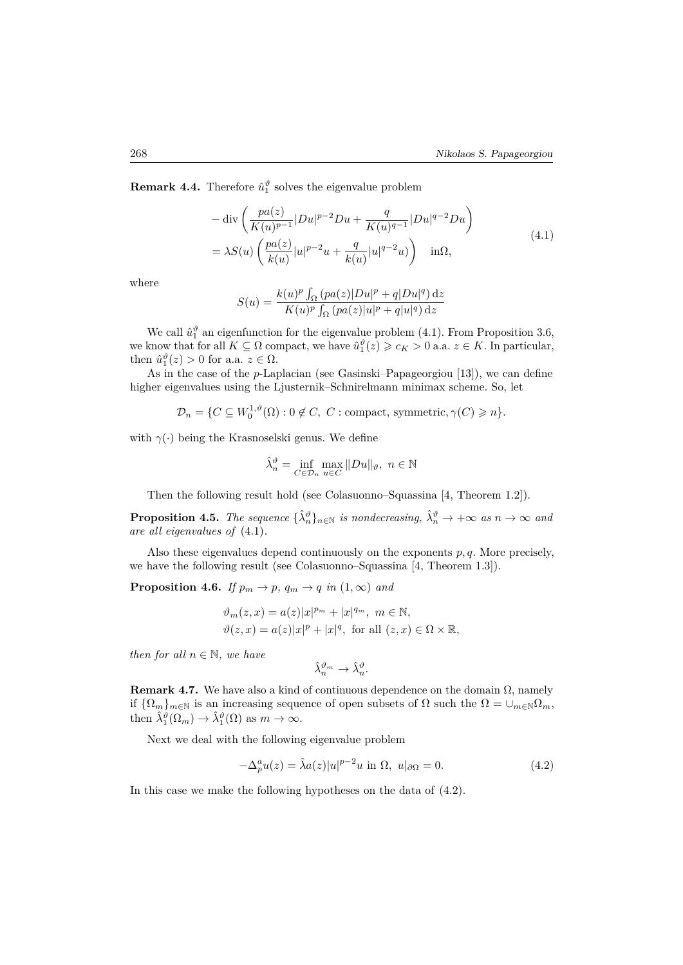**Remark 4.4.** Therefore  $\hat{u}_1^{\vartheta}$  solves the eigenvalue problem

$$
-\operatorname{div}\left(\frac{pa(z)}{K(u)^{p-1}}|Du|^{p-2}Du + \frac{q}{K(u)^{q-1}}|Du|^{q-2}Du\right) = \lambda S(u)\left(\frac{pa(z)}{k(u)}|u|^{p-2}u + \frac{q}{k(u)}|u|^{q-2}u\right) \quad \text{in}\Omega,
$$
\n(4.1)

where

$$
S(u) = \frac{k(u)^p \int_{\Omega} (pa(z)|Du|^p + q|Du|^q) dz}{K(u)^p \int_{\Omega} (pa(z)|u|^p + q|u|^q) dz}
$$

We call  $\hat{u}_1^{\theta}$  an eigenfunction for the eigenvalue problem (4.1). From Proposition 3.6, we know that for all  $K \subseteq \Omega$  compact, we have  $\hat{u}_1^{\vartheta}(z) \geq c_K > 0$  a.a.  $z \in K$ . In particular, then  $\hat{u}_1^{\vartheta}(z) > 0$  for a.a.  $z \in \Omega$ .

As in the case of the *p*-Laplacian (see Gasinski–Papageorgiou [13]), we can define higher eigenvalues using the Ljusternik–Schnirelmann minimax scheme. So, let

 $\mathcal{D}_n = \{ C \subseteq W_0^{1,\vartheta}(\Omega) : 0 \notin C, C : \text{compact, symmetric}, \gamma(C) \geq n \}.$ 

with  $\gamma(\cdot)$  being the Krasnoselski genus. We define

$$
\hat{\lambda}_{n}^{\vartheta} = \inf_{C \in \mathcal{D}_{n}} \max_{u \in C} \|Du\|_{\vartheta}, \ n \in \mathbb{N}
$$

Then the following result hold (see Colasuonno–Squassina [4, Theorem 1.2]).

**Proposition 4.5.** *The sequence*  $\{\hat{\lambda}_n^{\vartheta}\}_{n \in \mathbb{N}}$  *is nondecreasing,*  $\hat{\lambda}_n^{\vartheta} \to +\infty$  *as*  $n \to \infty$  *and are all eigenvalues of* (4.1)*.*

Also these eigenvalues depend continuously on the exponents *p, q*. More precisely, we have the following result (see Colasuonno–Squassina [4, Theorem 1.3]).

**Proposition 4.6.** *If*  $p_m \to p$ ,  $q_m \to q$  *in*  $(1, \infty)$  *and* 

$$
\vartheta_m(z, x) = a(z)|x|^{p_m} + |x|^{q_m}, \ m \in \mathbb{N},
$$
  

$$
\vartheta(z, x) = a(z)|x|^p + |x|^q, \text{ for all } (z, x) \in \Omega \times \mathbb{R},
$$

*then for all*  $n \in \mathbb{N}$ *, we have* 

$$
\hat{\lambda}_n^{\vartheta_m} \to \hat{\lambda}_n^{\vartheta}.
$$

**Remark 4.7.** We have also a kind of continuous dependence on the domain  $\Omega$ , namely if  $\{\Omega_m\}_{m\in\mathbb{N}}$  is an increasing sequence of open subsets of  $\Omega$  such the  $\Omega = \cup_{m\in\mathbb{N}}\Omega_m$ , then  $\hat{\lambda}_1^{\vartheta}(\Omega_m) \to \hat{\lambda}_1^{\vartheta}(\Omega)$  as  $m \to \infty$ .

Next we deal with the following eigenvalue problem

$$
-\Delta_p^a u(z) = \hat{\lambda} a(z)|u|^{p-2}u \text{ in } \Omega, \ u|_{\partial\Omega} = 0. \tag{4.2}
$$

In this case we make the following hypotheses on the data of (4.2).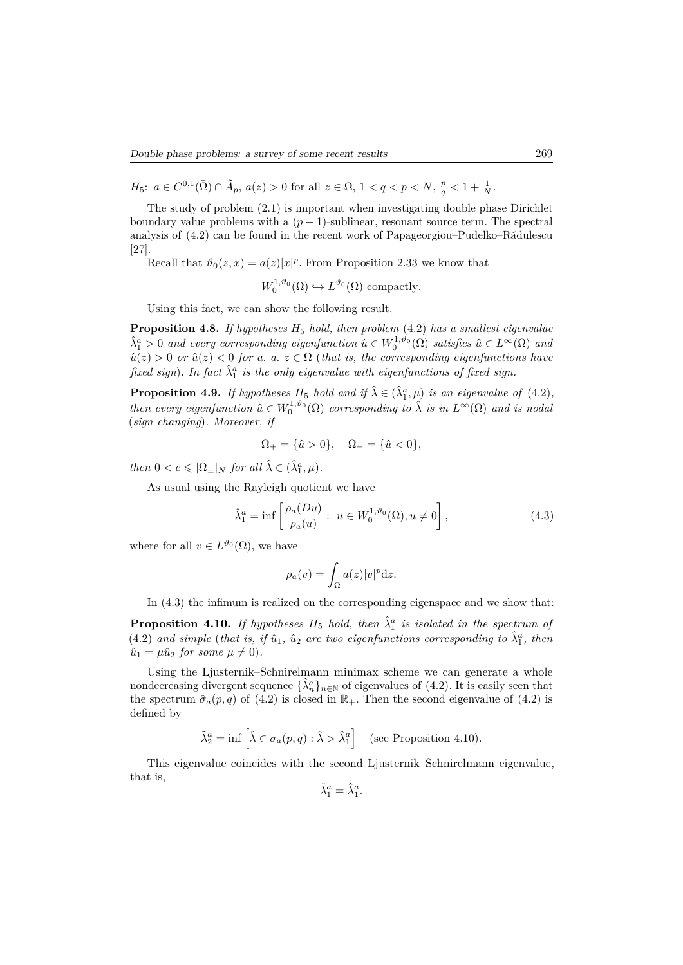*H*<sub>5</sub>:  $a \in C^{0,1}(\bar{\Omega}) \cap \tilde{A}_p$ ,  $a(z) > 0$  for all  $z \in \Omega$ ,  $1 < q < p < N$ ,  $\frac{p}{q} < 1 + \frac{1}{N}$ .

The study of problem (2.1) is important when investigating double phase Dirichlet boundary value problems with a  $(p-1)$ -sublinear, resonant source term. The spectral analysis of (4.2) can be found in the recent work of Papageorgiou–Pudelko–Rădulescu [27].

Recall that  $\vartheta_0(z, x) = a(z)|x|^p$ . From Proposition 2.33 we know that

$$
W_0^{1,\vartheta_0}(\Omega) \hookrightarrow L^{\vartheta_0}(\Omega) \text{ compactly.}
$$

Using this fact, we can show the following result.

**Proposition 4.8.** *If hypotheses H*<sup>5</sup> *hold, then problem* (4.2) *has a smallest eigenvalue*  $\hat{\lambda}_1^a > 0$  *and every corresponding eigenfunction*  $\hat{u} \in W_0^{1,\vartheta_0}(\Omega)$  *satisfies*  $\hat{u} \in L^\infty(\Omega)$  *and*  $\hat{u}(z) > 0$  *or*  $\hat{u}(z) < 0$  *for a. a.*  $z \in \Omega$  (*that is, the corresponding eigenfunctions have fixed sign*). In fact  $\hat{\lambda}_1^a$  is the only eigenvalue with eigenfunctions of fixed sign.

**Proposition 4.9.** *If hypotheses*  $H_5$  *hold and if*  $\hat{\lambda} \in (\hat{\lambda}_1^a, \mu)$  *is an eigenvalue of* (4.2)*, then every eigenfunction*  $\hat{u} \in W_0^{1,\vartheta_0}(\Omega)$  *corresponding to*  $\hat{\lambda}$  *is in*  $L^{\infty}(\Omega)$  *and is nodal* (*sign changing*)*. Moreover, if*

$$
\Omega_+ = \{\hat{u} > 0\}, \quad \Omega_- = \{\hat{u} < 0\},
$$

*then*  $0 < c \leqslant |\Omega_{\pm}|_N$  *for all*  $\hat{\lambda} \in (\hat{\lambda}_1^a, \mu)$ *.* 

As usual using the Rayleigh quotient we have

$$
\hat{\lambda}_1^a = \inf \left[ \frac{\rho_a(Du)}{\rho_a(u)} : u \in W_0^{1,\vartheta_0}(\Omega), u \neq 0 \right],
$$
\n(4.3)

where for all  $v \in L^{\vartheta_0}(\Omega)$ , we have

$$
\rho_a(v) = \int_{\Omega} a(z)|v|^p \mathrm{d}z.
$$

In (4.3) the infimum is realized on the corresponding eigenspace and we show that:

**Proposition 4.10.** If hypotheses  $H_5$  hold, then  $\hat{\lambda}_1^a$  is isolated in the spectrum of  $(4.2)$  *and simple* (*that is, if*  $\hat{u}_1$ *,*  $\hat{u}_2$  *are two eigenfunctions corresponding to*  $\hat{\lambda}_1^a$ *, then*  $\hat{u}_1 = \mu \hat{u}_2$  *for some*  $\mu \neq 0$ *)*.

Using the Liusternik–Schnirelmann minimax scheme we can generate a whole nondecreasing divergent sequence  $\{\hat{\lambda}_n^a\}_{n\in\mathbb{N}}$  of eigenvalues of (4.2). It is easily seen that the spectrum  $\hat{\sigma}_a(p,q)$  of (4.2) is closed in  $\mathbb{R}_+$ . Then the second eigenvalue of (4.2) is defined by

$$
\tilde{\lambda}_2^a = \inf \left[ \hat{\lambda} \in \sigma_a(p, q) : \hat{\lambda} > \hat{\lambda}_1^a \right] \quad \text{(see Proposition 4.10)}.
$$

This eigenvalue coincides with the second Ljusternik–Schnirelmann eigenvalue, that is,

$$
\tilde{\lambda}_1^a = \hat{\lambda}_1^a.
$$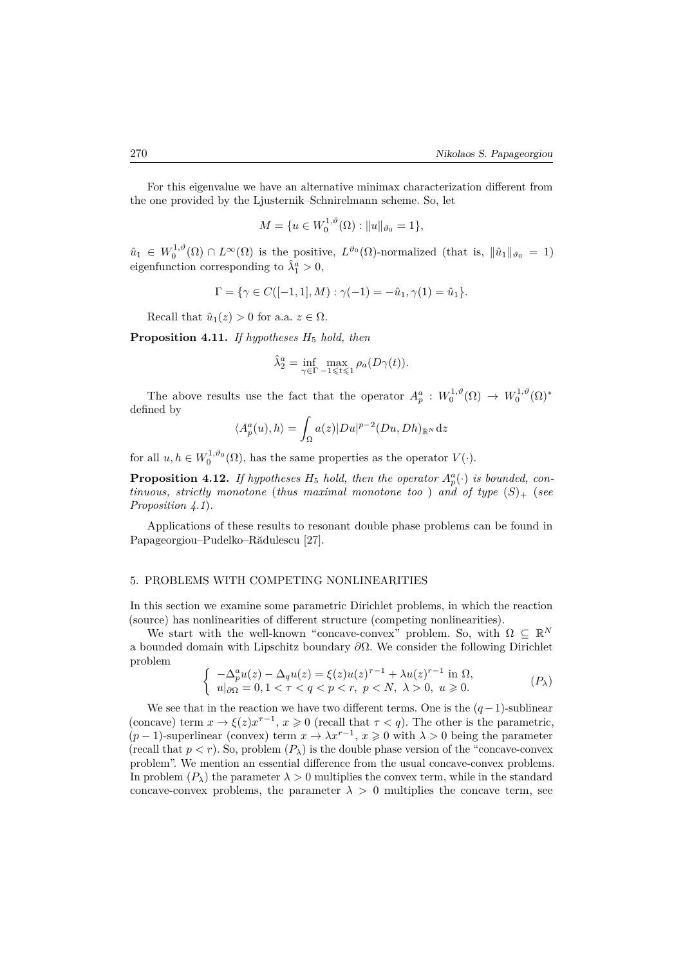For this eigenvalue we have an alternative minimax characterization different from the one provided by the Ljusternik–Schnirelmann scheme. So, let

$$
M = \{ u \in W_0^{1,\vartheta}(\Omega) : ||u||_{\vartheta_0} = 1 \},\
$$

 $\hat{u}_1 \in W_0^{1,\vartheta}(\Omega) \cap L^{\infty}(\Omega)$  is the positive,  $L^{\vartheta_0}(\Omega)$ -normalized (that is,  $\|\hat{u}_1\|_{\vartheta_0} = 1$ ) eigenfunction corresponding to  $\hat{\lambda}_1^a > 0$ ,

$$
\Gamma = \{ \gamma \in C([-1, 1], M) : \gamma(-1) = -\hat{u}_1, \gamma(1) = \hat{u}_1 \}.
$$

Recall that  $\hat{u}_1(z) > 0$  for a.a.  $z \in \Omega$ .

**Proposition 4.11.** *If hypotheses H*<sup>5</sup> *hold, then*

$$
\hat{\lambda}_2^a = \inf_{\gamma \in \Gamma} \max_{-1 \leq t \leq 1} \rho_a(D\gamma(t)).
$$

The above results use the fact that the operator  $A_p^a: W_0^{1,\vartheta}(\Omega) \to W_0^{1,\vartheta}(\Omega)^*$ defined by

$$
\langle A_p^a(u), h \rangle = \int_{\Omega} a(z) |Du|^{p-2} (Du, Dh)_{\mathbb{R}^N} dz
$$

for all  $u, h \in W_0^{1,\vartheta_0}(\Omega)$ , has the same properties as the operator  $V(\cdot)$ .

**Proposition 4.12.** *If hypotheses*  $H_5$  *hold, then the operator*  $A_p^a(\cdot)$  *is bounded, continuous, strictly monotone* (*thus maximal monotone too*) and of type  $(S)$  (*see Proposition 4.1*)*.*

Applications of these results to resonant double phase problems can be found in Papageorgiou–Pudelko–Rădulescu [27].

#### 5. PROBLEMS WITH COMPETING NONLINEARITIES

In this section we examine some parametric Dirichlet problems, in which the reaction (source) has nonlinearities of different structure (competing nonlinearities).

We start with the well-known "concave-convex" problem. So, with  $\Omega \subseteq \mathbb{R}^N$ a bounded domain with Lipschitz boundary *∂*Ω. We consider the following Dirichlet problem

$$
\begin{cases}\n-\Delta_p^a u(z) - \Delta_q u(z) = \xi(z)u(z)^{\tau-1} + \lambda u(z)^{\tau-1} \text{ in } \Omega, \\
u|_{\partial\Omega} = 0, 1 < \tau < q < p < r, \ p < N, \ \lambda > 0, \ u \geqslant 0.\n\end{cases} \tag{P_\lambda}
$$

We see that in the reaction we have two different terms. One is the  $(q-1)$ -sublinear (concave) term  $x \to \xi(z)x^{\tau-1}$ ,  $x \ge 0$  (recall that  $\tau < q$ ). The other is the parametric,  $(p-1)$ -superlinear (convex) term  $x \to \lambda x^{r-1}$ ,  $x \ge 0$  with  $\lambda > 0$  being the parameter (recall that  $p < r$ ). So, problem  $(P_{\lambda})$  is the double phase version of the "concave-convex" problem". We mention an essential difference from the usual concave-convex problems. In problem  $(P_\lambda)$  the parameter  $\lambda > 0$  multiplies the convex term, while in the standard concave-convex problems, the parameter  $\lambda > 0$  multiplies the concave term, see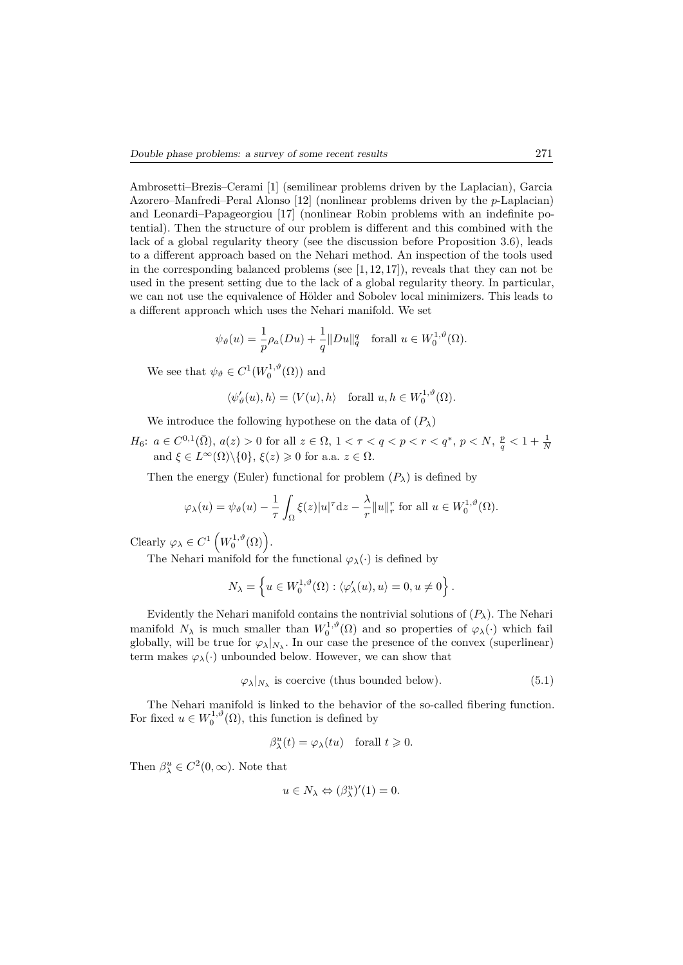Ambrosetti–Brezis–Cerami [1] (semilinear problems driven by the Laplacian), Garcia Azorero–Manfredi–Peral Alonso [12] (nonlinear problems driven by the *p*-Laplacian) and Leonardi–Papageorgiou [17] (nonlinear Robin problems with an indefinite potential). Then the structure of our problem is different and this combined with the lack of a global regularity theory (see the discussion before Proposition 3.6), leads to a different approach based on the Nehari method. An inspection of the tools used in the corresponding balanced problems (see  $[1, 12, 17]$ ), reveals that they can not be used in the present setting due to the lack of a global regularity theory. In particular, we can not use the equivalence of Hölder and Sobolev local minimizers. This leads to a different approach which uses the Nehari manifold. We set

$$
\psi_{\vartheta}(u) = \frac{1}{p}\rho_a(Du) + \frac{1}{q} ||Du||_q^q \quad \text{for all } u \in W_0^{1,\vartheta}(\Omega).
$$

We see that  $\psi_{\vartheta} \in C^1(W_0^{1,\vartheta}(\Omega))$  and

$$
\langle \psi'_{\vartheta}(u), h \rangle = \langle V(u), h \rangle \quad \text{for all } u, h \in W_0^{1, \vartheta}(\Omega).
$$

We introduce the following hypothese on the data of  $(P_\lambda)$ 

 $H_6$ :  $a \in C^{0,1}(\overline{\Omega})$ ,  $a(z) > 0$  for all  $z \in \Omega$ ,  $1 < \tau < q < p < r < q^*$ ,  $p < N$ ,  $\frac{p}{q} < 1 + \frac{1}{N}$ <br>and  $\xi \in L^{\infty}(\Omega) \setminus \{0\}$ ,  $\xi(z) \geq 0$  for a.a.  $z \in \Omega$ .

Then the energy (Euler) functional for problem  $(P_\lambda)$  is defined by

$$
\varphi_{\lambda}(u) = \psi_{\vartheta}(u) - \frac{1}{\tau} \int_{\Omega} \xi(z) |u|^{\tau} dz - \frac{\lambda}{r} ||u||_{r}^{r} \text{ for all } u \in W_{0}^{1,\vartheta}(\Omega).
$$

Clearly  $\varphi_{\lambda} \in C^1 \left( W_0^{1,\vartheta}(\Omega) \right)$ .

The Nehari manifold for the functional  $\varphi_{\lambda}(\cdot)$  is defined by

$$
N_{\lambda} = \left\{ u \in W_0^{1,\vartheta}(\Omega) : \langle \varphi_\lambda'(u), u \rangle = 0, u \neq 0 \right\}.
$$

Evidently the Nehari manifold contains the nontrivial solutions of  $(P_\lambda)$ . The Nehari manifold  $N_\lambda$  is much smaller than  $W_0^{1,\vartheta}(\Omega)$  and so properties of  $\varphi_\lambda(\cdot)$  which fail globally, will be true for  $\varphi_{\lambda}|_{N_{\lambda}}$ . In our case the presence of the convex (superlinear) term makes  $\varphi_{\lambda}(\cdot)$  unbounded below. However, we can show that

$$
\varphi_{\lambda}|_{N_{\lambda}}
$$
 is coercive (thus bounded below). (5.1)

The Nehari manifold is linked to the behavior of the so-called fibering function. For fixed  $u \in W_0^{1,\vartheta}(\Omega)$ , this function is defined by

$$
\beta_{\lambda}^{u}(t) = \varphi_{\lambda}(tu) \quad \text{for all } t \geqslant 0.
$$

Then  $\beta_{\lambda}^u \in C^2(0, \infty)$ . Note that

$$
u \in N_{\lambda} \Leftrightarrow (\beta_{\lambda}^{u})'(1) = 0.
$$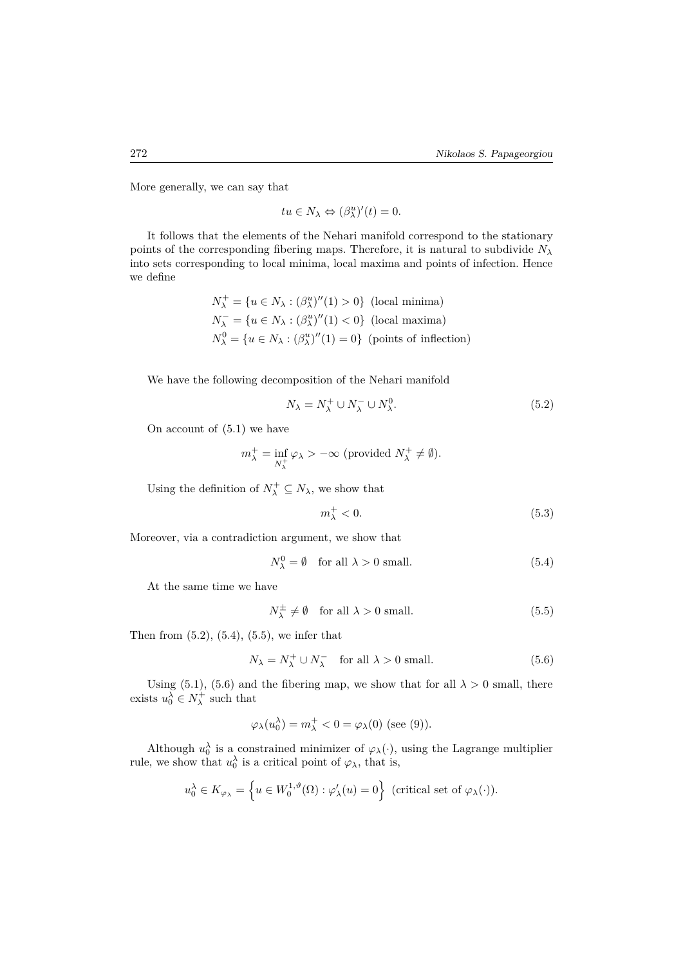More generally, we can say that

$$
tu \in N_{\lambda} \Leftrightarrow (\beta_{\lambda}^{u})'(t) = 0.
$$

It follows that the elements of the Nehari manifold correspond to the stationary points of the corresponding fibering maps. Therefore, it is natural to subdivide  $N_\lambda$ into sets corresponding to local minima, local maxima and points of infection. Hence we define

$$
N_{\lambda}^{+} = \{u \in N_{\lambda} : (\beta_{\lambda}^{u})''(1) > 0\} \text{ (local minima)}
$$
  
\n
$$
N_{\lambda}^{-} = \{u \in N_{\lambda} : (\beta_{\lambda}^{u})''(1) < 0\} \text{ (local maxima)}
$$
  
\n
$$
N_{\lambda}^{0} = \{u \in N_{\lambda} : (\beta_{\lambda}^{u})''(1) = 0\} \text{ (points of inflection)}
$$

We have the following decomposition of the Nehari manifold

$$
N_{\lambda} = N_{\lambda}^{+} \cup N_{\lambda}^{-} \cup N_{\lambda}^{0}.
$$
\n
$$
(5.2)
$$

On account of (5.1) we have

$$
m_{\lambda}^{+} = \inf_{N_{\lambda}^{+}} \varphi_{\lambda} > -\infty \text{ (provided } N_{\lambda}^{+} \neq \emptyset).
$$

Using the definition of  $N^+_\lambda \subseteq N_\lambda$ , we show that

$$
m_{\lambda}^{+} < 0. \tag{5.3}
$$

Moreover, via a contradiction argument, we show that

$$
N_{\lambda}^{0} = \emptyset \quad \text{for all } \lambda > 0 \text{ small.} \tag{5.4}
$$

At the same time we have

$$
N_{\lambda}^{\pm} \neq \emptyset \quad \text{for all } \lambda > 0 \text{ small.} \tag{5.5}
$$

Then from  $(5.2)$ ,  $(5.4)$ ,  $(5.5)$ , we infer that

$$
N_{\lambda} = N_{\lambda}^{+} \cup N_{\lambda}^{-} \quad \text{for all } \lambda > 0 \text{ small.} \tag{5.6}
$$

Using (5.1), (5.6) and the fibering map, we show that for all  $\lambda > 0$  small, there exists  $u_0^{\lambda} \in N_{\lambda}^+$  such that

$$
\varphi_\lambda(u_0^\lambda)=m_\lambda^+<0=\varphi_\lambda(0)\text{ (see (9))}.
$$

Although  $u_0^{\lambda}$  is a constrained minimizer of  $\varphi_{\lambda}(\cdot)$ , using the Lagrange multiplier rule, we show that  $u_0^{\lambda}$  is a critical point of  $\varphi_{\lambda}$ , that is,

$$
u_0^{\lambda} \in K_{\varphi_{\lambda}} = \left\{ u \in W_0^{1,\vartheta}(\Omega) : \varphi_{\lambda}'(u) = 0 \right\} \text{ (critical set of } \varphi_{\lambda}(\cdot)).
$$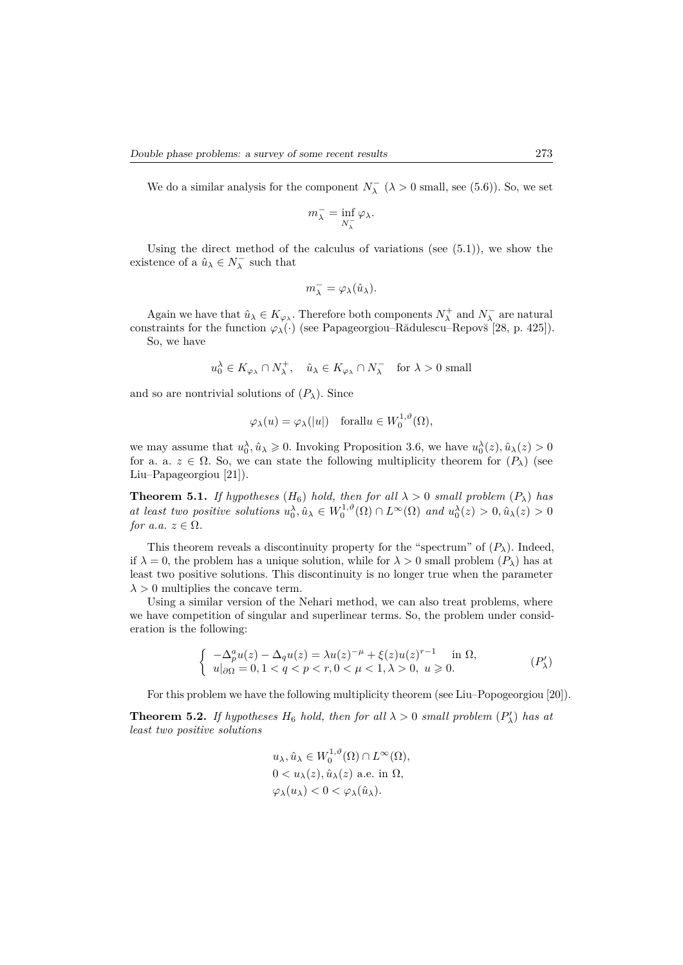We do a similar analysis for the component  $N_{\lambda}^-$  ( $\lambda > 0$  small, see (5.6)). So, we set

$$
m_{\lambda}^- = \inf_{N_{\lambda}^-} \varphi_{\lambda}.
$$

Using the direct method of the calculus of variations (see  $(5.1)$ ), we show the existence of a  $\hat{u}_{\lambda} \in N_{\lambda}^-$  such that

$$
m_{\lambda}^- = \varphi_{\lambda}(\hat{u}_{\lambda}).
$$

Again we have that  $\hat{u}_{\lambda} \in K_{\varphi_{\lambda}}$ . Therefore both components  $N_{\lambda}^+$  and  $N_{\lambda}^-$  are natural constraints for the function  $\varphi_{\lambda}(\cdot)$  (see Papageorgiou–Rădulescu–Repovš [28, p. 425]). So, we have

$$
u_0^{\lambda} \in K_{\varphi_{\lambda}} \cap N_{\lambda}^{+}, \quad \hat{u}_{\lambda} \in K_{\varphi_{\lambda}} \cap N_{\lambda}^{-} \quad \text{for } \lambda > 0 \text{ small}
$$

and so are nontrivial solutions of  $(P_\lambda)$ . Since

$$
\varphi_{\lambda}(u) = \varphi_{\lambda}(|u|)
$$
 forall $u \in W_0^{1,\vartheta}(\Omega)$ ,

we may assume that  $u_0^{\lambda}, \hat{u}_{\lambda} \geq 0$ . Invoking Proposition 3.6, we have  $u_0^{\lambda}(z), \hat{u}_{\lambda}(z) > 0$ for a. a.  $z \in \Omega$ . So, we can state the following multiplicity theorem for  $(P_\lambda)$  (see Liu–Papageorgiou [21]).

**Theorem 5.1.** *If hypotheses*  $(H_6)$  *hold, then for all*  $\lambda > 0$  *small problem*  $(P_{\lambda})$  *has* at least two positive solutions  $u_0^{\lambda}, \hat{u}_{\lambda} \in W_0^{1,\vartheta}(\Omega) \cap L^{\infty}(\Omega)$  and  $u_0^{\lambda}(z) > 0, \hat{u}_{\lambda}(z) > 0$ *for a.a.*  $z \in \Omega$ *.* 

This theorem reveals a discontinuity property for the "spectrum" of  $(P_\lambda)$ . Indeed, if  $\lambda = 0$ , the problem has a unique solution, while for  $\lambda > 0$  small problem  $(P_{\lambda})$  has at least two positive solutions. This discontinuity is no longer true when the parameter  $\lambda > 0$  multiplies the concave term.

Using a similar version of the Nehari method, we can also treat problems, where we have competition of singular and superlinear terms. So, the problem under consideration is the following:

$$
\begin{cases}\n-\Delta_p^a u(z) - \Delta_q u(z) = \lambda u(z)^{-\mu} + \xi(z)u(z)^{r-1} & \text{in } \Omega, \\
u|_{\partial\Omega} = 0, 1 < q < p < r, \\
0 < \mu < 1, \lambda > 0, \ u \geqslant 0.\n\end{cases} \tag{P'_\lambda}
$$

For this problem we have the following multiplicity theorem (see Liu–Popogeorgiou [20]).

**Theorem 5.2.** *If hypotheses*  $H_6$  *hold, then for all*  $\lambda > 0$  *small problem*  $(P'_\lambda)$  *has at least two positive solutions*

$$
u_{\lambda}, \hat{u}_{\lambda} \in W_0^{1,\vartheta}(\Omega) \cap L^{\infty}(\Omega),
$$
  
0  $< u_{\lambda}(z), \hat{u}_{\lambda}(z)$  a.e. in  $\Omega$ ,  
 $\varphi_{\lambda}(u_{\lambda}) < 0 < \varphi_{\lambda}(\hat{u}_{\lambda}).$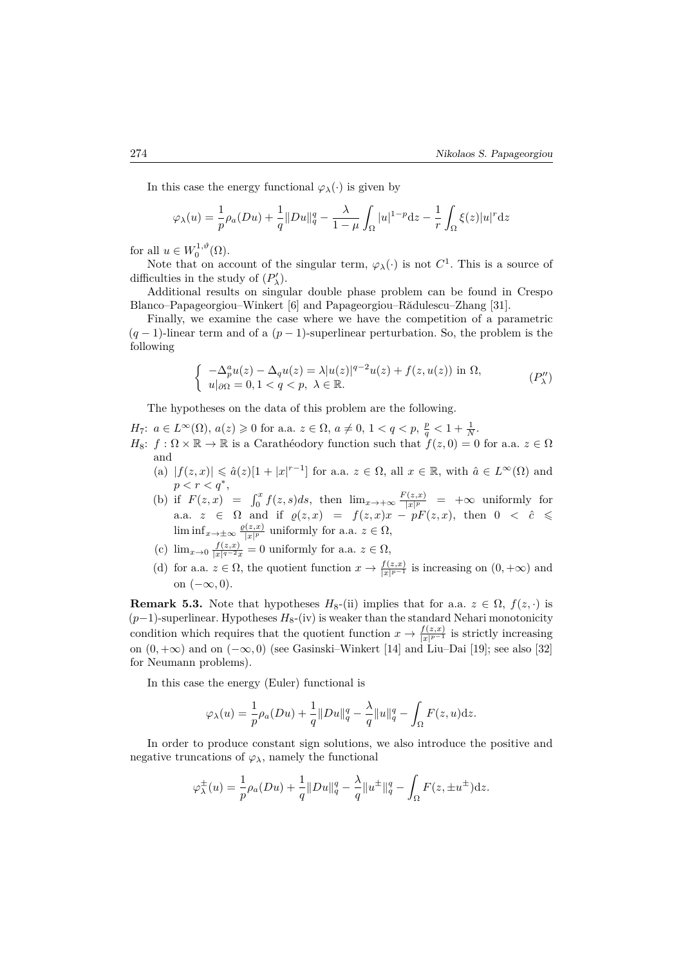In this case the energy functional  $\varphi_{\lambda}(\cdot)$  is given by

$$
\varphi_{\lambda}(u) = \frac{1}{p}\rho_a(Du) + \frac{1}{q}||Du||_q^q - \frac{\lambda}{1-\mu} \int_{\Omega} |u|^{1-p} dz - \frac{1}{r} \int_{\Omega} \xi(z)|u|^r dz
$$

for all  $u \in W_0^{1,\vartheta}(\Omega)$ .

Note that on account of the singular term,  $\varphi_{\lambda}(\cdot)$  is not  $C^1$ . This is a source of difficulties in the study of  $(P'_{\lambda})$ .

Additional results on singular double phase problem can be found in Crespo Blanco–Papageorgiou–Winkert [6] and Papageorgiou–Rădulescu–Zhang [31].

Finally, we examine the case where we have the competition of a parametric (*q* − 1)-linear term and of a (*p* − 1)-superlinear perturbation. So, the problem is the following

$$
\begin{cases}\n-\Delta_p^a u(z) - \Delta_q u(z) = \lambda |u(z)|^{q-2} u(z) + f(z, u(z)) \text{ in } \Omega, \\
u|_{\partial \Omega} = 0, 1 < q < p, \ \lambda \in \mathbb{R}.\n\end{cases} \tag{P''}
$$

The hypotheses on the data of this problem are the following.

*H*<sub>7</sub>:  $a \in L^{\infty}(\Omega)$ ,  $a(z) \geq 0$  for a.a.  $z \in \Omega$ ,  $a \neq 0$ ,  $1 < q < p$ ,  $\frac{p}{q} < 1 + \frac{1}{N}$ . *H*<sub>8</sub>:  $f : \Omega \times \mathbb{R} \to \mathbb{R}$  is a Carathéodory function such that  $f(z, 0) = 0$  for a.a.  $z \in \Omega$ and

- (a)  $|f(z, x)| \leq \hat{a}(z)[1 + |x|^{r-1}]$  for a.a.  $z \in \Omega$ , all  $x \in \mathbb{R}$ , with  $\hat{a} \in L^{\infty}(\Omega)$  and *p* < *r* < *q*<sup>\*</sup>,
- (b) if  $F(z, x) = \int_0^x f(z, s) ds$ , then  $\lim_{x \to +\infty} \frac{F(z, x)}{|x|^p}$  $\frac{f(z,x)}{|x|^p}$  =  $+\infty$  uniformly for a.a.  $z \in \Omega$  and if  $\varrho(z, x) = f(z, x)x - pF(z, x)$ , then  $0 \leq \hat{c} \leq$  $\liminf_{x\to\pm\infty}\frac{\varrho(z,x)}{|x|^p}$  $\frac{f(z,x)}{|x|^p}$  uniformly for a.a.  $z \in \Omega$ ,
- (c)  $\lim_{x\to 0} \frac{f(z,x)}{|x|^{q-2}x}$  $\frac{f(z,x)}{|x|^{q-2}x} = 0$  uniformly for a.a.  $z \in \Omega$ ,
- (d) for a.a.  $z \in \Omega$ , the quotient function  $x \to \frac{f(z,x)}{|x|^{p-1}}$  is increasing on  $(0, +\infty)$  and on  $(-\infty, 0)$ .

**Remark 5.3.** Note that hypotheses  $H_8$ -(ii) implies that for a.a.  $z \in \Omega$ ,  $f(z, \cdot)$  is (*p*−1)-superlinear. Hypotheses *H*8-(iv) is weaker than the standard Nehari monotonicity condition which requires that the quotient function  $x \to \frac{f(z,x)}{|x|^{p-1}}$  is strictly increasing on (0*,* +∞) and on (−∞*,* 0) (see Gasinski–Winkert [14] and Liu–Dai [19]; see also [32] for Neumann problems).

In this case the energy (Euler) functional is

$$
\varphi_{\lambda}(u) = \frac{1}{p}\rho_a(Du) + \frac{1}{q}||Du||_q^q - \frac{\lambda}{q}||u||_q^q - \int_{\Omega} F(z, u)dz.
$$

In order to produce constant sign solutions, we also introduce the positive and negative truncations of  $\varphi_{\lambda}$ , namely the functional

$$
\varphi_{\lambda}^{\pm}(u) = \frac{1}{p}\rho_a(Du) + \frac{1}{q}||Du||_q^q - \frac{\lambda}{q}||u^{\pm}||_q^q - \int_{\Omega} F(z, \pm u^{\pm})dz.
$$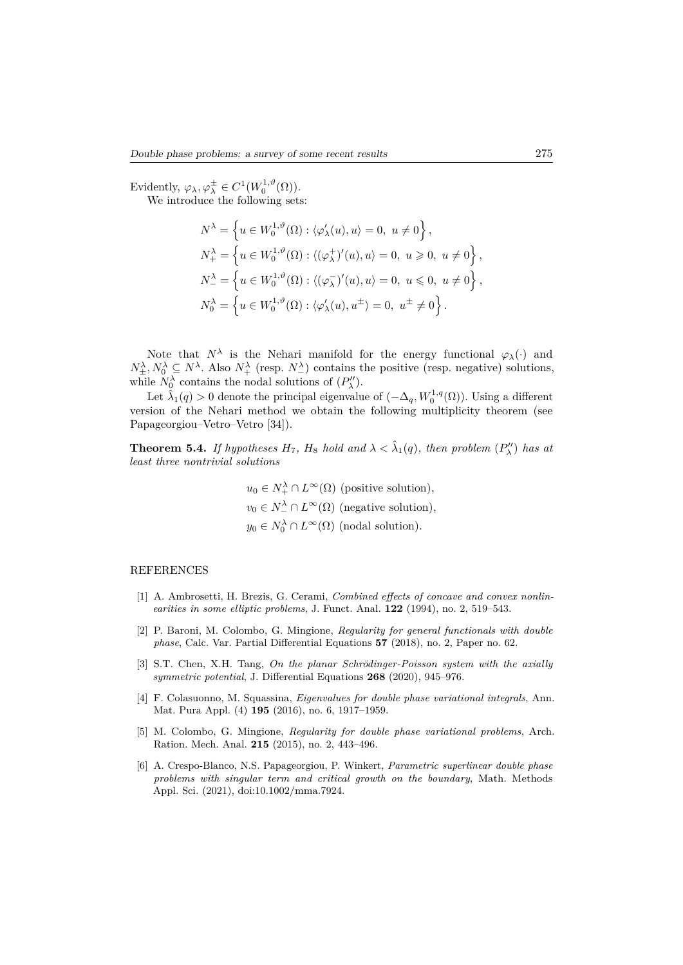Evidently,  $\varphi_{\lambda}, \varphi_{\lambda}^{\pm} \in C^{1}(W_{0}^{1,\vartheta}(\Omega)).$ 

We introduce the following sets:

$$
\begin{split} N^{\lambda} &= \left\{u \in W_{0}^{1,\vartheta}(\Omega): \langle \varphi_{\lambda}^{\prime}(u), u \rangle = 0, \ u \neq 0 \right\}, \\ N_{+}^{\lambda} &= \left\{u \in W_{0}^{1,\vartheta}(\Omega): \langle (\varphi_{\lambda}^{+})^{\prime}(u), u \rangle = 0, \ u \geqslant 0, \ u \neq 0 \right\}, \\ N_{-}^{\lambda} &= \left\{u \in W_{0}^{1,\vartheta}(\Omega): \langle (\varphi_{\lambda}^{-})^{\prime}(u), u \rangle = 0, \ u \leqslant 0, \ u \neq 0 \right\}, \\ N_{0}^{\lambda} &= \left\{u \in W_{0}^{1,\vartheta}(\Omega): \langle \varphi_{\lambda}^{\prime}(u), u^{\pm} \rangle = 0, \ u^{\pm} \neq 0 \right\}. \end{split}
$$

Note that  $N^{\lambda}$  is the Nehari manifold for the energy functional  $\varphi_{\lambda}(\cdot)$  and  $N_{\pm}^{\lambda}, N_0^{\lambda} \subseteq N^{\lambda}$ . Also  $N_{+}^{\lambda}$  (resp.  $N_{-}^{\lambda}$ ) contains the positive (resp. negative) solutions, while  $N_0^{\lambda}$  contains the nodal solutions of  $(P''_{\lambda})$ .

Let  $\hat{\lambda}_1(q) > 0$  denote the principal eigenvalue of  $(-\Delta_q, W_0^{1,q}(\Omega))$ . Using a different version of the Nehari method we obtain the following multiplicity theorem (see Papageorgiou–Vetro–Vetro [34]).

**Theorem 5.4.** *If hypotheses*  $H_7$ *,*  $H_8$  *hold and*  $\lambda < \hat{\lambda}_1(q)$ *, then problem*  $(P''_{\lambda})$  *has at least three nontrivial solutions*

> $u_0 \in N_+^{\lambda} \cap L^{\infty}(\Omega)$  (positive solution),  $v_0 \in N^{\lambda}_{-} \cap L^{\infty}(\Omega)$  (negative solution),  $y_0 \in N_0^{\lambda} \cap L^{\infty}(\Omega)$  (nodal solution).

### REFERENCES

- [1] A. Ambrosetti, H. Brezis, G. Cerami, *Combined effects of concave and convex nonlinearities in some elliptic problems*, J. Funct. Anal. **122** (1994), no. 2, 519–543.
- [2] P. Baroni, M. Colombo, G. Mingione, *Regularity for general functionals with double phase*, Calc. Var. Partial Differential Equations **57** (2018), no. 2, Paper no. 62.
- [3] S.T. Chen, X.H. Tang, *On the planar Schrödinger-Poisson system with the axially symmetric potential*, J. Differential Equations **268** (2020), 945–976.
- [4] F. Colasuonno, M. Squassina, *Eigenvalues for double phase variational integrals*, Ann. Mat. Pura Appl. (4) **195** (2016), no. 6, 1917–1959.
- [5] M. Colombo, G. Mingione, *Regularity for double phase variational problems*, Arch. Ration. Mech. Anal. **215** (2015), no. 2, 443–496.
- [6] A. Crespo-Blanco, N.S. Papageorgiou, P. Winkert, *Parametric superlinear double phase problems with singular term and critical growth on the boundary*, Math. Methods Appl. Sci. (2021), doi:10.1002/mma.7924.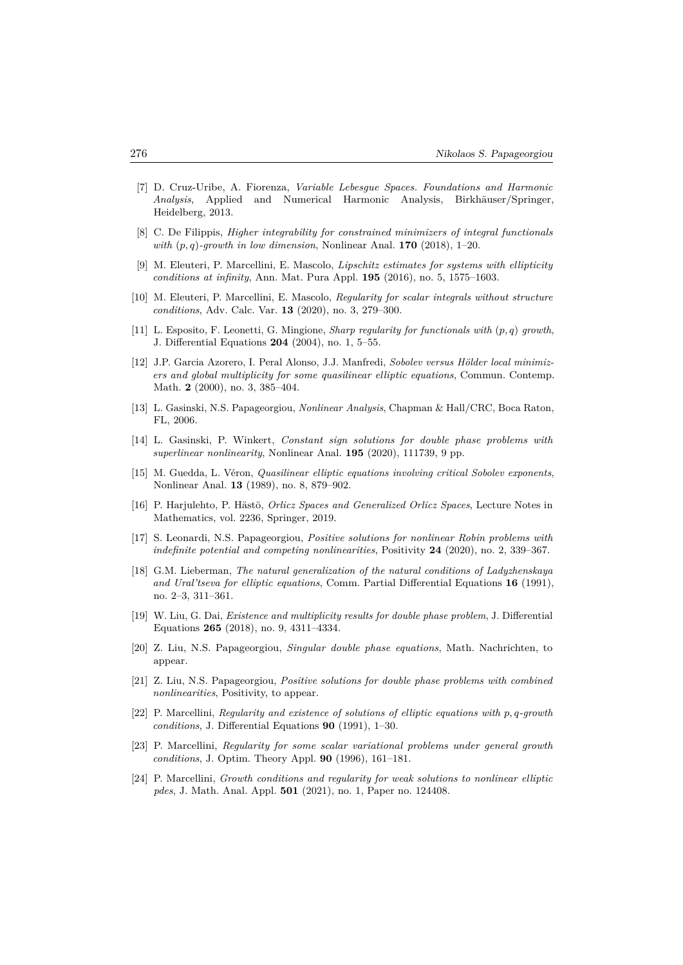- [7] D. Cruz-Uribe, A. Fiorenza, *Variable Lebesgue Spaces. Foundations and Harmonic Analysis*, Applied and Numerical Harmonic Analysis, Birkhäuser/Springer, Heidelberg, 2013.
- [8] C. De Filippis, *Higher integrability for constrained minimizers of integral functionals with* (*p, q*)*-growth in low dimension*, Nonlinear Anal. **170** (2018), 1–20.
- [9] M. Eleuteri, P. Marcellini, E. Mascolo, *Lipschitz estimates for systems with ellipticity conditions at infinity*, Ann. Mat. Pura Appl. **195** (2016), no. 5, 1575–1603.
- [10] M. Eleuteri, P. Marcellini, E. Mascolo, *Regularity for scalar integrals without structure conditions*, Adv. Calc. Var. **13** (2020), no. 3, 279–300.
- [11] L. Esposito, F. Leonetti, G. Mingione, *Sharp regularity for functionals with* (*p, q*) *growth*, J. Differential Equations **204** (2004), no. 1, 5–55.
- [12] J.P. Garcia Azorero, I. Peral Alonso, J.J. Manfredi, *Sobolev versus Hölder local minimizers and global multiplicity for some quasilinear elliptic equations*, Commun. Contemp. Math. **2** (2000), no. 3, 385–404.
- [13] L. Gasinski, N.S. Papageorgiou, *Nonlinear Analysis*, Chapman & Hall*/*CRC, Boca Raton, FL, 2006.
- [14] L. Gasinski, P. Winkert, *Constant sign solutions for double phase problems with superlinear nonlinearity*, Nonlinear Anal. **195** (2020), 111739, 9 pp.
- [15] M. Guedda, L. Véron, *Quasilinear elliptic equations involving critical Sobolev exponents*, Nonlinear Anal. **13** (1989), no. 8, 879–902.
- [16] P. Harjulehto, P. Hästö, *Orlicz Spaces and Generalized Orlicz Spaces*, Lecture Notes in Mathematics, vol. 2236, Springer, 2019.
- [17] S. Leonardi, N.S. Papageorgiou, *Positive solutions for nonlinear Robin problems with indefinite potential and competing nonlinearities*, Positivity **24** (2020), no. 2, 339–367.
- [18] G.M. Lieberman, *The natural generalization of the natural conditions of Ladyzhenskaya and Ural'tseva for elliptic equations*, Comm. Partial Differential Equations **16** (1991), no. 2–3, 311–361.
- [19] W. Liu, G. Dai, *Existence and multiplicity results for double phase problem*, J. Differential Equations **265** (2018), no. 9, 4311–4334.
- [20] Z. Liu, N.S. Papageorgiou, *Singular double phase equations*, Math. Nachrichten, to appear.
- [21] Z. Liu, N.S. Papageorgiou, *Positive solutions for double phase problems with combined nonlinearities*, Positivity, to appear.
- [22] P. Marcellini, *Regularity and existence of solutions of elliptic equations with p, q-growth conditions*, J. Differential Equations **90** (1991), 1–30.
- [23] P. Marcellini, *Regularity for some scalar variational problems under general growth conditions*, J. Optim. Theory Appl. **90** (1996), 161–181.
- [24] P. Marcellini, *Growth conditions and regularity for weak solutions to nonlinear elliptic pdes*, J. Math. Anal. Appl. **501** (2021), no. 1, Paper no. 124408.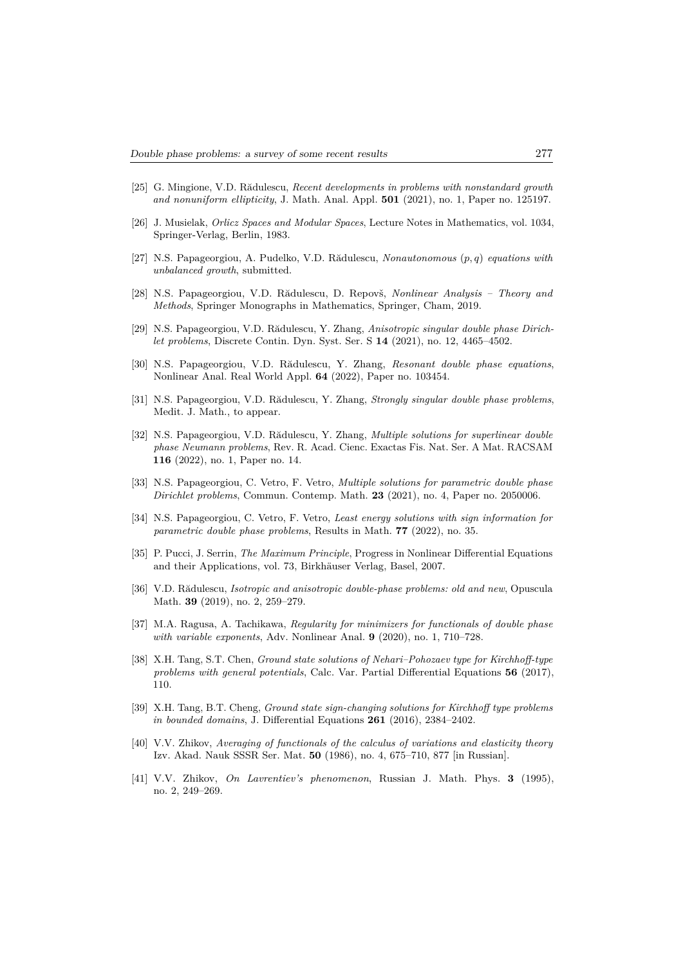- [25] G. Mingione, V.D. Rădulescu, *Recent developments in problems with nonstandard growth and nonuniform ellipticity*, J. Math. Anal. Appl. **501** (2021), no. 1, Paper no. 125197.
- [26] J. Musielak, *Orlicz Spaces and Modular Spaces*, Lecture Notes in Mathematics, vol. 1034, Springer-Verlag, Berlin, 1983.
- [27] N.S. Papageorgiou, A. Pudelko, V.D. Rădulescu, *Nonautonomous* (*p, q*) *equations with unbalanced growth*, submitted.
- [28] N.S. Papageorgiou, V.D. Rădulescu, D. Repovš, *Nonlinear Analysis Theory and Methods*, Springer Monographs in Mathematics, Springer, Cham, 2019.
- [29] N.S. Papageorgiou, V.D. Rădulescu, Y. Zhang, *Anisotropic singular double phase Dirichlet problems*, Discrete Contin. Dyn. Syst. Ser. S **14** (2021), no. 12, 4465–4502.
- [30] N.S. Papageorgiou, V.D. Rădulescu, Y. Zhang, *Resonant double phase equations*, Nonlinear Anal. Real World Appl. **64** (2022), Paper no. 103454.
- [31] N.S. Papageorgiou, V.D. Rădulescu, Y. Zhang, *Strongly singular double phase problems*, Medit. J. Math., to appear.
- [32] N.S. Papageorgiou, V.D. Rădulescu, Y. Zhang, *Multiple solutions for superlinear double phase Neumann problems*, Rev. R. Acad. Cienc. Exactas Fis. Nat. Ser. A Mat. RACSAM **116** (2022), no. 1, Paper no. 14.
- [33] N.S. Papageorgiou, C. Vetro, F. Vetro, *Multiple solutions for parametric double phase Dirichlet problems*, Commun. Contemp. Math. **23** (2021), no. 4, Paper no. 2050006.
- [34] N.S. Papageorgiou, C. Vetro, F. Vetro, *Least energy solutions with sign information for parametric double phase problems*, Results in Math. **77** (2022), no. 35.
- [35] P. Pucci, J. Serrin, *The Maximum Principle*, Progress in Nonlinear Differential Equations and their Applications, vol. 73, Birkhäuser Verlag, Basel, 2007.
- [36] V.D. Rădulescu, *Isotropic and anisotropic double-phase problems: old and new*, Opuscula Math. **39** (2019), no. 2, 259–279.
- [37] M.A. Ragusa, A. Tachikawa, *Regularity for minimizers for functionals of double phase with variable exponents*, Adv. Nonlinear Anal. **9** (2020), no. 1, 710–728.
- [38] X.H. Tang, S.T. Chen, *Ground state solutions of Nehari–Pohozaev type for Kirchhoff-type problems with general potentials*, Calc. Var. Partial Differential Equations **56** (2017), 110.
- [39] X.H. Tang, B.T. Cheng, *Ground state sign-changing solutions for Kirchhoff type problems in bounded domains*, J. Differential Equations **261** (2016), 2384–2402.
- [40] V.V. Zhikov, *Averaging of functionals of the calculus of variations and elasticity theory* Izv. Akad. Nauk SSSR Ser. Mat. **50** (1986), no. 4, 675–710, 877 [in Russian].
- [41] V.V. Zhikov, *On Lavrentiev's phenomenon*, Russian J. Math. Phys. **3** (1995), no. 2, 249–269.